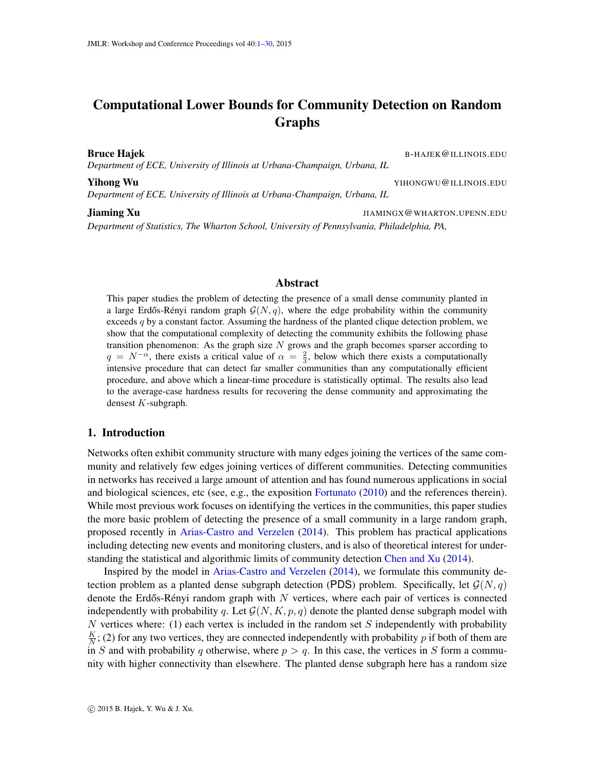# <span id="page-0-0"></span>Computational Lower Bounds for Community Detection on Random Graphs

*Department of ECE, University of Illinois at Urbana-Champaign, Urbana, IL*

**Bruce Hajek Expansion Community Community Community Community Community Community B-HAJEK @ILLINOIS.EDU** 

**Yihong Wu Yuhong Wu YIHONGWU@ILLINOIS.EDU** *Department of ECE, University of Illinois at Urbana-Champaign, Urbana, IL*

**Jiaming Xu JIAMINGX@WHARTON.UPENN.EDU** *Department of Statistics, The Wharton School, University of Pennsylvania, Philadelphia, PA,*

# Abstract

This paper studies the problem of detecting the presence of a small dense community planted in a large Erdős-Rényi random graph  $\mathcal{G}(N, q)$ , where the edge probability within the community exceeds  $q$  by a constant factor. Assuming the hardness of the planted clique detection problem, we show that the computational complexity of detecting the community exhibits the following phase transition phenomenon: As the graph size  $N$  grows and the graph becomes sparser according to  $q = N^{-\alpha}$ , there exists a critical value of  $\alpha = \frac{2}{3}$ , below which there exists a computationally intensive procedure that can detect far smaller communities than any computationally efficient procedure, and above which a linear-time procedure is statistically optimal. The results also lead to the average-case hardness results for recovering the dense community and approximating the densest K-subgraph.

# 1. Introduction

Networks often exhibit community structure with many edges joining the vertices of the same community and relatively few edges joining vertices of different communities. Detecting communities in networks has received a large amount of attention and has found numerous applications in social and biological sciences, etc (see, e.g., the exposition [Fortunato](#page-13-0) [\(2010\)](#page-13-0) and the references therein). While most previous work focuses on identifying the vertices in the communities, this paper studies the more basic problem of detecting the presence of a small community in a large random graph, proposed recently in [Arias-Castro and Verzelen](#page-12-0) [\(2014\)](#page-12-0). This problem has practical applications including detecting new events and monitoring clusters, and is also of theoretical interest for understanding the statistical and algorithmic limits of community detection [Chen and Xu](#page-13-1) [\(2014\)](#page-13-1).

Inspired by the model in [Arias-Castro and Verzelen](#page-12-0) [\(2014\)](#page-12-0), we formulate this community detection problem as a planted dense subgraph detection (PDS) problem. Specifically, let  $\mathcal{G}(N, q)$ denote the Erdős-Rényi random graph with  $N$  vertices, where each pair of vertices is connected independently with probability q. Let  $\mathcal{G}(N, K, p, q)$  denote the planted dense subgraph model with N vertices where: (1) each vertex is included in the random set  $S$  independently with probability K  $\frac{K}{N}$ ; (2) for any two vertices, they are connected independently with probability p if both of them are in S and with probability q otherwise, where  $p > q$ . In this case, the vertices in S form a community with higher connectivity than elsewhere. The planted dense subgraph here has a random size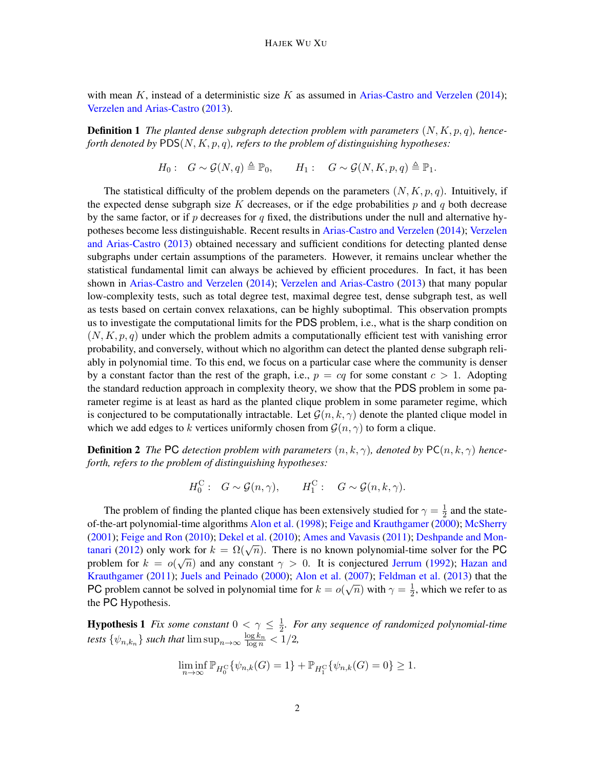with mean  $K$ , instead of a deterministic size  $K$  as assumed in [Arias-Castro and Verzelen](#page-12-0) [\(2014\)](#page-12-0); [Verzelen and Arias-Castro](#page-14-0) [\(2013\)](#page-14-0).

**Definition 1** The planted dense subgraph detection problem with parameters  $(N, K, p, q)$ , hence*forth denoted by* PDS(N, K, p, q)*, refers to the problem of distinguishing hypotheses:*

<span id="page-1-0"></span> $H_0: G \sim \mathcal{G}(N,q) \triangleq \mathbb{P}_0, \qquad H_1: G \sim \mathcal{G}(N,K,p,q) \triangleq \mathbb{P}_1.$ 

The statistical difficulty of the problem depends on the parameters  $(N, K, p, q)$ . Intuitively, if the expected dense subgraph size K decreases, or if the edge probabilities p and q both decrease by the same factor, or if p decreases for q fixed, the distributions under the null and alternative hypotheses become less distinguishable. Recent results in [Arias-Castro and Verzelen](#page-12-0) [\(2014\)](#page-12-0); [Verzelen](#page-14-0) [and Arias-Castro](#page-14-0) [\(2013\)](#page-14-0) obtained necessary and sufficient conditions for detecting planted dense subgraphs under certain assumptions of the parameters. However, it remains unclear whether the statistical fundamental limit can always be achieved by efficient procedures. In fact, it has been shown in [Arias-Castro and Verzelen](#page-12-0) [\(2014\)](#page-12-0); [Verzelen and Arias-Castro](#page-14-0) [\(2013\)](#page-14-0) that many popular low-complexity tests, such as total degree test, maximal degree test, dense subgraph test, as well as tests based on certain convex relaxations, can be highly suboptimal. This observation prompts us to investigate the computational limits for the PDS problem, i.e., what is the sharp condition on  $(N, K, p, q)$  under which the problem admits a computationally efficient test with vanishing error probability, and conversely, without which no algorithm can detect the planted dense subgraph reliably in polynomial time. To this end, we focus on a particular case where the community is denser by a constant factor than the rest of the graph, i.e.,  $p = cq$  for some constant  $c > 1$ . Adopting the standard reduction approach in complexity theory, we show that the PDS problem in some parameter regime is at least as hard as the planted clique problem in some parameter regime, which is conjectured to be computationally intractable. Let  $\mathcal{G}(n, k, \gamma)$  denote the planted clique model in which we add edges to k vertices uniformly chosen from  $\mathcal{G}(n, \gamma)$  to form a clique.

**Definition 2** *The* PC *detection problem with parameters*  $(n, k, \gamma)$ , *denoted by* PC $(n, k, \gamma)$  *henceforth, refers to the problem of distinguishing hypotheses:*

<span id="page-1-1"></span>
$$
H_0^C
$$
:  $G \sim \mathcal{G}(n, \gamma)$ ,  $H_1^C$ :  $G \sim \mathcal{G}(n, k, \gamma)$ .

The problem of finding the planted clique has been extensively studied for  $\gamma = \frac{1}{2}$  $\frac{1}{2}$  and the stateof-the-art polynomial-time algorithms [Alon et al.](#page-12-1) [\(1998\)](#page-12-1); [Feige and Krauthgamer](#page-13-2) [\(2000\)](#page-13-2); [McSherry](#page-13-3) [\(2001\)](#page-13-3); [Feige and Ron](#page-13-4) [\(2010\)](#page-13-4); [Dekel et al.](#page-13-5) [\(2010\)](#page-13-5); [Ames and Vavasis](#page-12-2) [\(2011\)](#page-12-2); [Deshpande and Mon](#page-13-6)(2001), Felge and Ron (2010), Deket et al. (2010), Affles and Vavasis (2011), Desirpande and Non-<br>[tanari](#page-13-6) [\(2012\)](#page-13-6) only work for  $k = \Omega(\sqrt{n})$ . There is no known polynomial-time solver for the PC problem for  $k = o(\sqrt{n})$  and any constant  $\gamma > 0$ . It is conjectured [Jerrum](#page-13-7) [\(1992\)](#page-13-7); [Hazan and](#page-13-8) [Krauthgamer](#page-13-8) [\(2011\)](#page-13-8); [Juels and Peinado](#page-13-9) [\(2000\)](#page-13-9); [Alon et al.](#page-12-3) [\(2007\)](#page-12-3); [Feldman et al.](#page-13-10) [\(2013\)](#page-13-10) that the PC problem cannot be solved in polynomial time for  $k = o(\sqrt{n})$  with  $\gamma = \frac{1}{2}$  $\frac{1}{2}$ , which we refer to as the PC Hypothesis.

**Hypothesis 1** *Fix some constant*  $0 < \gamma \leq \frac{1}{2}$  $\frac{1}{2}$ . For any sequence of randomized polynomial-time *tests*  $\{\psi_{n,k_n}\}$  *such that*  $\limsup_{n\to\infty} \frac{\log k_n}{\log n} < 1/2$ ,

<span id="page-1-2"></span>
$$
\liminf_{n \to \infty} \mathbb{P}_{H_0^C} \{ \psi_{n,k}(G) = 1 \} + \mathbb{P}_{H_1^C} \{ \psi_{n,k}(G) = 0 \} \ge 1.
$$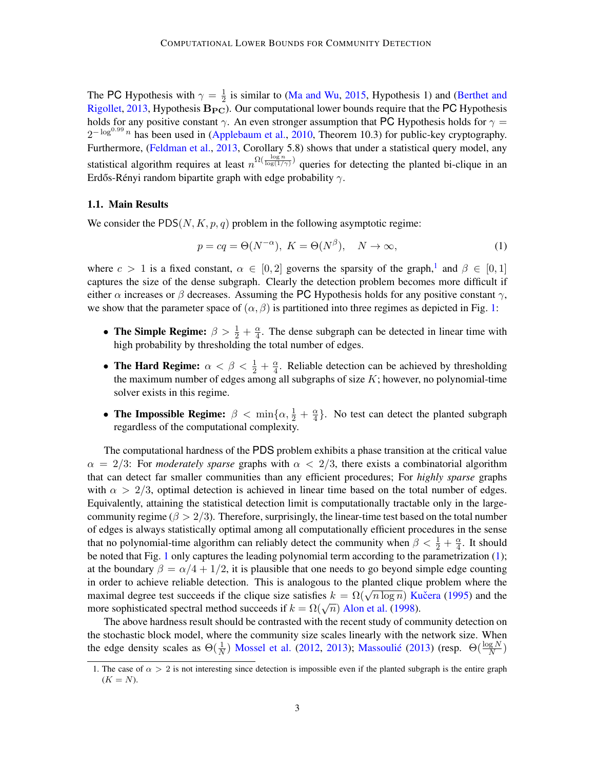The PC Hypothesis with  $\gamma = \frac{1}{2}$  $\frac{1}{2}$  is similar to [\(Ma and Wu,](#page-13-11) [2015,](#page-13-11) Hypothesis 1) and [\(Berthet and](#page-12-4) [Rigollet,](#page-12-4) [2013,](#page-12-4) Hypothesis  $B_{PC}$ ). Our computational lower bounds require that the PC Hypothesis holds for any positive constant  $\gamma$ . An even stronger assumption that PC Hypothesis holds for  $\gamma$  =  $2^{-\log^{0.99} n}$  has been used in [\(Applebaum et al.,](#page-12-5) [2010,](#page-12-5) Theorem 10.3) for public-key cryptography. Furthermore, [\(Feldman et al.,](#page-13-10) [2013,](#page-13-10) Corollary 5.8) shows that under a statistical query model, any statistical algorithm requires at least  $n^{\Omega(\frac{\log n}{\log(1/\gamma)})}$  queries for detecting the planted bi-clique in an Erdős-Rényi random bipartite graph with edge probability  $\gamma$ .

#### 1.1. Main Results

We consider the  $PDS(N, K, p, q)$  problem in the following asymptotic regime:

<span id="page-2-1"></span>
$$
p = cq = \Theta(N^{-\alpha}), \ K = \Theta(N^{\beta}), \quad N \to \infty,
$$
\n(1)

where  $c > 1$  $c > 1$  is a fixed constant,  $\alpha \in [0,2]$  governs the sparsity of the graph,<sup>1</sup> and  $\beta \in [0,1]$ captures the size of the dense subgraph. Clearly the detection problem becomes more difficult if either  $\alpha$  increases or  $\beta$  decreases. Assuming the PC Hypothesis holds for any positive constant  $\gamma$ , we show that the parameter space of  $(\alpha, \beta)$  is partitioned into three regimes as depicted in Fig. [1:](#page-3-0)

- The Simple Regime:  $\beta > \frac{1}{2} + \frac{\alpha}{4}$  $\frac{\alpha}{4}$ . The dense subgraph can be detected in linear time with high probability by thresholding the total number of edges.
- The Hard Regime:  $\alpha < \beta < \frac{1}{2} + \frac{\alpha}{4}$  $\frac{\alpha}{4}$ . Reliable detection can be achieved by thresholding the maximum number of edges among all subgraphs of size  $K$ ; however, no polynomial-time solver exists in this regime.
- The Impossible Regime:  $\beta < \min\{\alpha, \frac{1}{2} + \frac{\alpha}{4}\}$  $\frac{\alpha}{4}$ . No test can detect the planted subgraph regardless of the computational complexity.

The computational hardness of the PDS problem exhibits a phase transition at the critical value  $\alpha = 2/3$ : For *moderately sparse* graphs with  $\alpha < 2/3$ , there exists a combinatorial algorithm that can detect far smaller communities than any efficient procedures; For *highly sparse* graphs with  $\alpha > 2/3$ , optimal detection is achieved in linear time based on the total number of edges. Equivalently, attaining the statistical detection limit is computationally tractable only in the largecommunity regime ( $\beta > 2/3$ ). Therefore, surprisingly, the linear-time test based on the total number of edges is always statistically optimal among all computationally efficient procedures in the sense that no polynomial-time algorithm can reliably detect the community when  $\beta < \frac{1}{2} + \frac{\alpha}{4}$  $rac{\alpha}{4}$ . It should be noted that Fig. [1](#page-3-0) only captures the leading polynomial term according to the parametrization [\(1\)](#page-2-1); at the boundary  $\beta = \alpha/4 + 1/2$ , it is plausible that one needs to go beyond simple edge counting in order to achieve reliable detection. This is analogous to the planted clique problem where the m offer to achieve reflable detection. This is analogous to the planted chique problem where the maximal degree test succeeds if the clique size satisfies  $k = \Omega(\sqrt{n \log n})$  Kučera [\(1995\)](#page-13-12) and the maximal degree lest succeeds if the chique size sausiles  $k = \Omega(\sqrt{n} \log n)$  K<br>more sophisticated spectral method succeeds if  $k = \Omega(\sqrt{n})$  [Alon et al.](#page-12-1) [\(1998\)](#page-12-1).

The above hardness result should be contrasted with the recent study of community detection on the stochastic block model, where the community size scales linearly with the network size. When the edge density scales as  $\Theta(\frac{1}{N})$  [Mossel et al.](#page-14-1) [\(2012,](#page-14-1) [2013\)](#page-14-2); Massoulié [\(2013\)](#page-13-13) (resp.  $\Theta(\frac{\log N}{N})$ 

<span id="page-2-0"></span><sup>1.</sup> The case of  $\alpha > 2$  is not interesting since detection is impossible even if the planted subgraph is the entire graph  $(K = N)$ .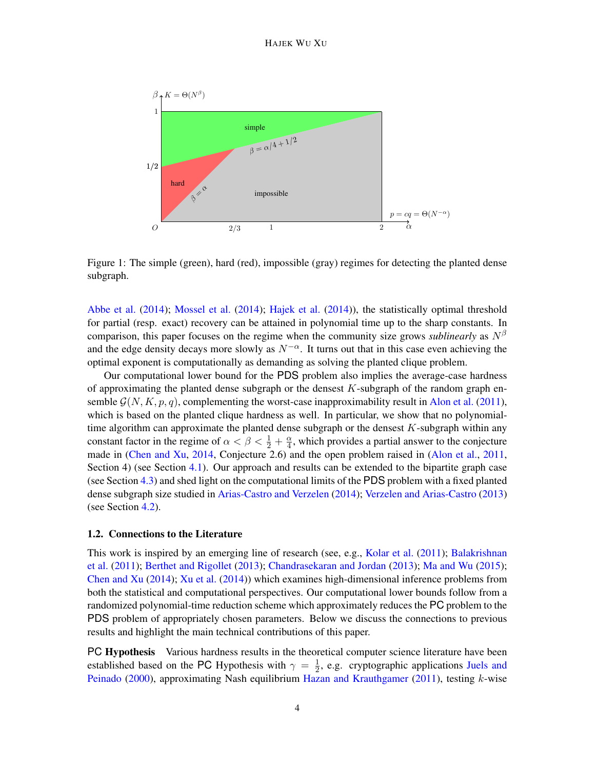#### HAJEK WU XU

<span id="page-3-0"></span>

Figure 1: The simple (green), hard (red), impossible (gray) regimes for detecting the planted dense subgraph.

[Abbe et al.](#page-12-6) [\(2014\)](#page-12-6); [Mossel et al.](#page-14-3) [\(2014\)](#page-14-3); [Hajek et al.](#page-13-14) [\(2014\)](#page-13-14)), the statistically optimal threshold for partial (resp. exact) recovery can be attained in polynomial time up to the sharp constants. In comparison, this paper focuses on the regime when the community size grows *sublinearly* as  $N^{\beta}$ and the edge density decays more slowly as  $N^{-\alpha}$ . It turns out that in this case even achieving the optimal exponent is computationally as demanding as solving the planted clique problem.

Our computational lower bound for the PDS problem also implies the average-case hardness of approximating the planted dense subgraph or the densest  $K$ -subgraph of the random graph ensemble  $\mathcal{G}(N, K, p, q)$ , complementing the worst-case inapproximability result in [Alon et al.](#page-12-7) [\(2011\)](#page-12-7), which is based on the planted clique hardness as well. In particular, we show that no polynomialtime algorithm can approximate the planted dense subgraph or the densest  $K$ -subgraph within any constant factor in the regime of  $\alpha < \beta < \frac{1}{2} + \frac{\alpha}{4}$  $\frac{\alpha}{4}$ , which provides a partial answer to the conjecture made in [\(Chen and Xu,](#page-13-1) [2014,](#page-13-1) Conjecture 2.6) and the open problem raised in [\(Alon et al.,](#page-12-7) [2011,](#page-12-7) Section 4) (see Section [4.1\)](#page-10-0). Our approach and results can be extended to the bipartite graph case (see Section [4.3\)](#page-11-0) and shed light on the computational limits of the PDS problem with a fixed planted dense subgraph size studied in [Arias-Castro and Verzelen](#page-12-0) [\(2014\)](#page-12-0); [Verzelen and Arias-Castro](#page-14-0) [\(2013\)](#page-14-0) (see Section [4.2\)](#page-10-1).

## 1.2. Connections to the Literature

This work is inspired by an emerging line of research (see, e.g., [Kolar et al.](#page-13-15) [\(2011\)](#page-13-15); [Balakrishnan](#page-12-8) [et al.](#page-12-8) [\(2011\)](#page-12-8); [Berthet and Rigollet](#page-12-4) [\(2013\)](#page-12-4); [Chandrasekaran and Jordan](#page-12-9) [\(2013\)](#page-12-9); [Ma and Wu](#page-13-11) [\(2015\)](#page-13-11); [Chen and Xu](#page-13-1) [\(2014\)](#page-13-1); [Xu et al.](#page-14-4) [\(2014\)](#page-14-4)) which examines high-dimensional inference problems from both the statistical and computational perspectives. Our computational lower bounds follow from a randomized polynomial-time reduction scheme which approximately reduces the PC problem to the PDS problem of appropriately chosen parameters. Below we discuss the connections to previous results and highlight the main technical contributions of this paper.

PC Hypothesis Various hardness results in the theoretical computer science literature have been established based on the PC Hypothesis with  $\gamma = \frac{1}{2}$  $\frac{1}{2}$ , e.g. cryptographic applications [Juels and](#page-13-9) [Peinado](#page-13-9) [\(2000\)](#page-13-9), approximating Nash equilibrium [Hazan and Krauthgamer](#page-13-8) [\(2011\)](#page-13-8), testing  $k$ -wise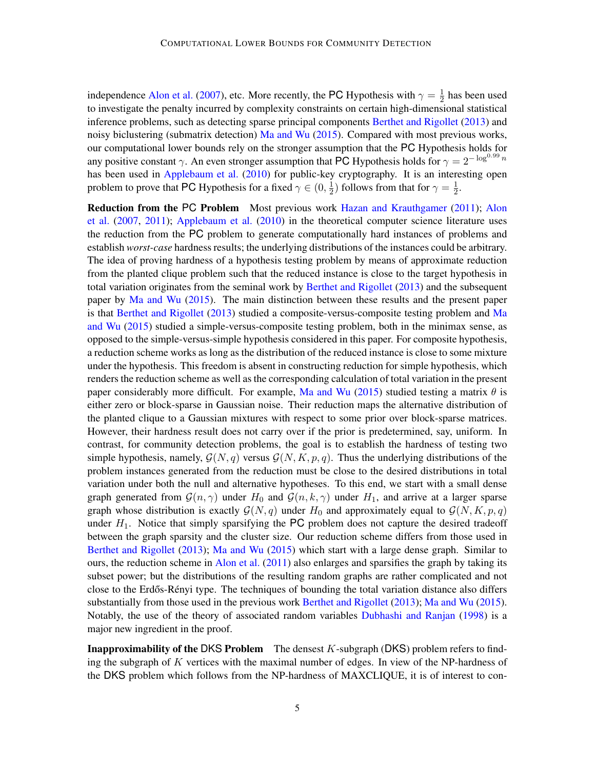independence [Alon et al.](#page-12-3) [\(2007\)](#page-12-3), etc. More recently, the PC Hypothesis with  $\gamma = \frac{1}{2}$  $\frac{1}{2}$  has been used to investigate the penalty incurred by complexity constraints on certain high-dimensional statistical inference problems, such as detecting sparse principal components [Berthet and Rigollet](#page-12-4) [\(2013\)](#page-12-4) and noisy biclustering (submatrix detection) [Ma and Wu](#page-13-11) [\(2015\)](#page-13-11). Compared with most previous works, our computational lower bounds rely on the stronger assumption that the PC Hypothesis holds for any positive constant  $\gamma$ . An even stronger assumption that PC Hypothesis holds for  $\gamma = 2^{-\log^{0.99} n}$ has been used in [Applebaum et al.](#page-12-5) [\(2010\)](#page-12-5) for public-key cryptography. It is an interesting open problem to prove that PC Hypothesis for a fixed  $\gamma \in (0, \frac{1}{2})$  $\frac{1}{2}$ ) follows from that for  $\gamma = \frac{1}{2}$  $rac{1}{2}$ .

Reduction from the PC Problem Most previous work [Hazan and Krauthgamer](#page-13-8) [\(2011\)](#page-13-8); [Alon](#page-12-3) [et al.](#page-12-3) [\(2007,](#page-12-3) [2011\)](#page-12-7); [Applebaum et al.](#page-12-5) [\(2010\)](#page-12-5) in the theoretical computer science literature uses the reduction from the PC problem to generate computationally hard instances of problems and establish *worst-case* hardness results; the underlying distributions of the instances could be arbitrary. The idea of proving hardness of a hypothesis testing problem by means of approximate reduction from the planted clique problem such that the reduced instance is close to the target hypothesis in total variation originates from the seminal work by [Berthet and Rigollet](#page-12-4) [\(2013\)](#page-12-4) and the subsequent paper by [Ma and Wu](#page-13-11) [\(2015\)](#page-13-11). The main distinction between these results and the present paper is that [Berthet and Rigollet](#page-12-4) [\(2013\)](#page-12-4) studied a composite-versus-composite testing problem and [Ma](#page-13-11) [and Wu](#page-13-11) [\(2015\)](#page-13-11) studied a simple-versus-composite testing problem, both in the minimax sense, as opposed to the simple-versus-simple hypothesis considered in this paper. For composite hypothesis, a reduction scheme works as long as the distribution of the reduced instance is close to some mixture under the hypothesis. This freedom is absent in constructing reduction for simple hypothesis, which renders the reduction scheme as well as the corresponding calculation of total variation in the present paper considerably more difficult. For example, [Ma and Wu](#page-13-11) [\(2015\)](#page-13-11) studied testing a matrix  $\theta$  is either zero or block-sparse in Gaussian noise. Their reduction maps the alternative distribution of the planted clique to a Gaussian mixtures with respect to some prior over block-sparse matrices. However, their hardness result does not carry over if the prior is predetermined, say, uniform. In contrast, for community detection problems, the goal is to establish the hardness of testing two simple hypothesis, namely,  $\mathcal{G}(N, q)$  versus  $\mathcal{G}(N, K, p, q)$ . Thus the underlying distributions of the problem instances generated from the reduction must be close to the desired distributions in total variation under both the null and alternative hypotheses. To this end, we start with a small dense graph generated from  $\mathcal{G}(n, \gamma)$  under  $H_0$  and  $\mathcal{G}(n, k, \gamma)$  under  $H_1$ , and arrive at a larger sparse graph whose distribution is exactly  $G(N, q)$  under  $H_0$  and approximately equal to  $G(N, K, p, q)$ under  $H_1$ . Notice that simply sparsifying the PC problem does not capture the desired tradeoff between the graph sparsity and the cluster size. Our reduction scheme differs from those used in [Berthet and Rigollet](#page-12-4) [\(2013\)](#page-12-4); [Ma and Wu](#page-13-11) [\(2015\)](#page-13-11) which start with a large dense graph. Similar to ours, the reduction scheme in [Alon et al.](#page-12-7)  $(2011)$  also enlarges and sparsifies the graph by taking its subset power; but the distributions of the resulting random graphs are rather complicated and not close to the Erdős-R enyi type. The techniques of bounding the total variation distance also differs substantially from those used in the previous work [Berthet and Rigollet](#page-12-4) [\(2013\)](#page-12-4); [Ma and Wu](#page-13-11) [\(2015\)](#page-13-11). Notably, the use of the theory of associated random variables [Dubhashi and Ranjan](#page-13-16) [\(1998\)](#page-13-16) is a major new ingredient in the proof.

**Inapproximability of the DKS Problem** The densest  $K$ -subgraph (DKS) problem refers to finding the subgraph of  $K$  vertices with the maximal number of edges. In view of the NP-hardness of the DKS problem which follows from the NP-hardness of MAXCLIQUE, it is of interest to con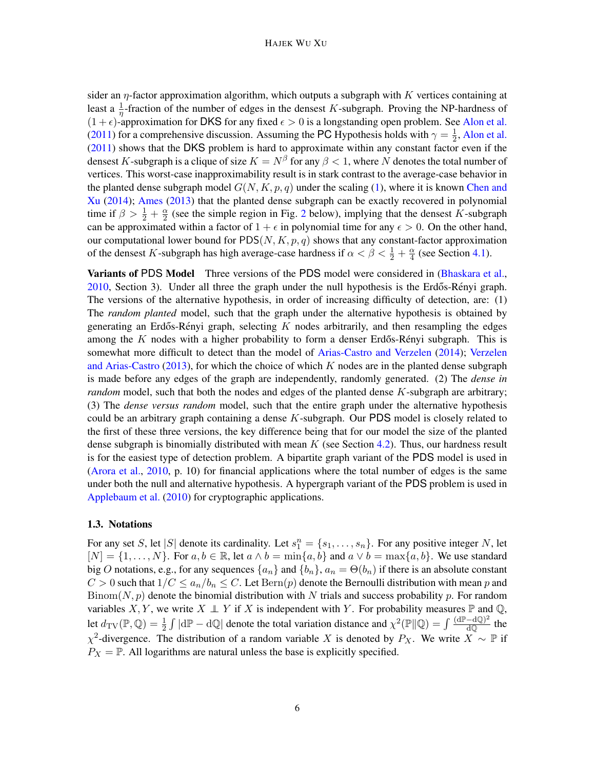sider an  $\eta$ -factor approximation algorithm, which outputs a subgraph with K vertices containing at least a  $\frac{1}{\eta}$ -fraction of the number of edges in the densest K-subgraph. Proving the NP-hardness of  $(1 + \epsilon)$ -approximation for DKS for any fixed  $\epsilon > 0$  is a longstanding open problem. See [Alon et al.](#page-12-7) [\(2011\)](#page-12-7) for a comprehensive discussion. Assuming the PC Hypothesis holds with  $\gamma = \frac{1}{2}$  $\frac{1}{2}$ , [Alon et al.](#page-12-7) [\(2011\)](#page-12-7) shows that the DKS problem is hard to approximate within any constant factor even if the densest K-subgraph is a clique of size  $K = N^{\beta}$  for any  $\beta < 1$ , where N denotes the total number of vertices. This worst-case inapproximability result is in stark contrast to the average-case behavior in the planted dense subgraph model  $G(N, K, p, q)$  under the scaling [\(1\)](#page-2-1), where it is known [Chen and](#page-13-1) [Xu](#page-13-1) [\(2014\)](#page-13-1); [Ames](#page-12-10) [\(2013\)](#page-12-10) that the planted dense subgraph can be exactly recovered in polynomial time if  $\beta > \frac{1}{2} + \frac{\alpha}{2}$  $\frac{\alpha}{2}$  $\frac{\alpha}{2}$  $\frac{\alpha}{2}$  (see the simple region in Fig. 2 below), implying that the densest K-subgraph can be approximated within a factor of  $1 + \epsilon$  in polynomial time for any  $\epsilon > 0$ . On the other hand, our computational lower bound for  $PDS(N, K, p, q)$  shows that any constant-factor approximation of the densest K-subgraph has high average-case hardness if  $\alpha < \beta < \frac{1}{2} + \frac{\alpha}{4}$  $\frac{\alpha}{4}$  (see Section [4.1\)](#page-10-0).

Variants of PDS Model Three versions of the PDS model were considered in [\(Bhaskara et al.,](#page-12-11)  $2010$ , Section 3). Under all three the graph under the null hypothesis is the Erdős-Rényi graph. The versions of the alternative hypothesis, in order of increasing difficulty of detection, are: (1) The *random planted* model, such that the graph under the alternative hypothesis is obtained by generating an Erdős-Rényi graph, selecting  $K$  nodes arbitrarily, and then resampling the edges among the K nodes with a higher probability to form a denser Erdős-Rényi subgraph. This is somewhat more difficult to detect than the model of [Arias-Castro and Verzelen](#page-12-0) [\(2014\)](#page-12-0); [Verzelen](#page-14-0) [and Arias-Castro](#page-14-0) [\(2013\)](#page-14-0), for which the choice of which K nodes are in the planted dense subgraph is made before any edges of the graph are independently, randomly generated. (2) The *dense in random* model, such that both the nodes and edges of the planted dense K-subgraph are arbitrary; (3) The *dense versus random* model, such that the entire graph under the alternative hypothesis could be an arbitrary graph containing a dense  $K$ -subgraph. Our PDS model is closely related to the first of these three versions, the key difference being that for our model the size of the planted dense subgraph is binomially distributed with mean  $K$  (see Section [4.2\)](#page-10-1). Thus, our hardness result is for the easiest type of detection problem. A bipartite graph variant of the PDS model is used in [\(Arora et al.,](#page-12-12) [2010,](#page-12-12) p. 10) for financial applications where the total number of edges is the same under both the null and alternative hypothesis. A hypergraph variant of the PDS problem is used in [Applebaum et al.](#page-12-5) [\(2010\)](#page-12-5) for cryptographic applications.

## 1.3. Notations

For any set S, let |S| denote its cardinality. Let  $s_1^n = \{s_1, \ldots, s_n\}$ . For any positive integer N, let  $[N] = \{1, \ldots, N\}$ . For  $a, b \in \mathbb{R}$ , let  $a \wedge b = \min\{a, b\}$  and  $a \vee b = \max\{a, b\}$ . We use standard big O notations, e.g., for any sequences  $\{a_n\}$  and  $\{b_n\}$ ,  $a_n = \Theta(b_n)$  if there is an absolute constant  $C > 0$  such that  $1/C \le a_n/b_n \le C$ . Let  $\text{Bern}(p)$  denote the Bernoulli distribution with mean p and Binom $(N, p)$  denote the binomial distribution with N trials and success probability p. For random variables X, Y, we write  $X \perp Y$  if X is independent with Y. For probability measures  $\mathbb P$  and  $\mathbb Q$ , let  $d_{\text{TV}}(\mathbb{P}, \mathbb{Q}) = \frac{1}{2} \int |\text{d}\mathbb{P} - \text{d}\mathbb{Q}|$  denote the total variation distance and  $\chi^2(\mathbb{P} \| \mathbb{Q}) = \int \frac{(\text{d}\mathbb{P} - \text{d}\mathbb{Q})^2}{\text{d}\mathbb{Q}}$  $\frac{-\mathbf{d}(\mathbf{Q})^2}{d\mathbf{Q}}$  the  $\chi^2$ -divergence. The distribution of a random variable X is denoted by  $P_X$ . We write  $X \sim \mathbb{P}$  if  $P_X = \mathbb{P}$ . All logarithms are natural unless the base is explicitly specified.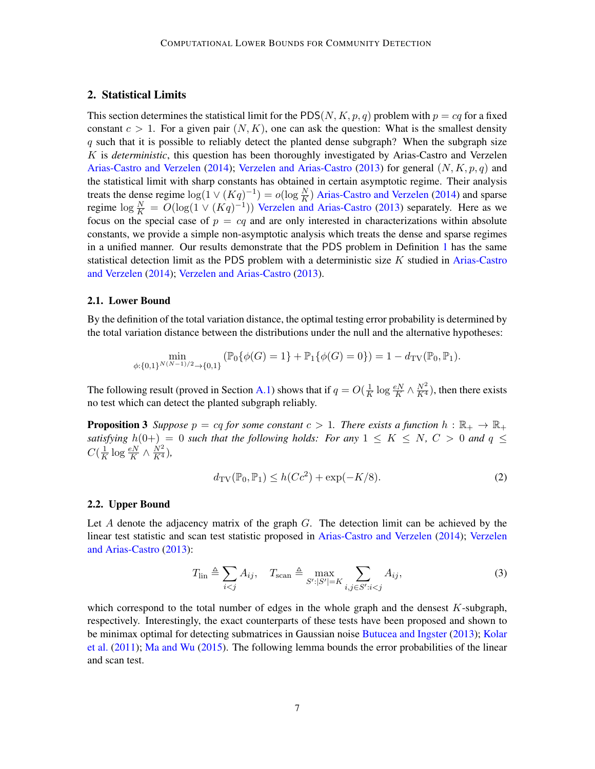# <span id="page-6-3"></span>2. Statistical Limits

This section determines the statistical limit for the PDS(N, K, p, q) problem with  $p = cq$  for a fixed constant  $c > 1$ . For a given pair  $(N, K)$ , one can ask the question: What is the smallest density  $q$  such that it is possible to reliably detect the planted dense subgraph? When the subgraph size K is *deterministic*, this question has been thoroughly investigated by Arias-Castro and Verzelen [Arias-Castro and Verzelen](#page-12-0) [\(2014\)](#page-12-0); [Verzelen and Arias-Castro](#page-14-0) [\(2013\)](#page-14-0) for general  $(N, K, p, q)$  and the statistical limit with sharp constants has obtained in certain asymptotic regime. Their analysis treats the dense regime  $\log(1 \vee (Kq)^{-1}) = o(\log \frac{N}{K})$  [Arias-Castro and Verzelen](#page-12-0) [\(2014\)](#page-12-0) and sparse regime  $\log \frac{N}{K} = O(\log(1 \vee (Kq)^{-1}))$  [Verzelen and Arias-Castro](#page-14-0) [\(2013\)](#page-14-0) separately. Here as we focus on the special case of  $p = cq$  and are only interested in characterizations within absolute constants, we provide a simple non-asymptotic analysis which treats the dense and sparse regimes in a unified manner. Our results demonstrate that the PDS problem in Definition [1](#page-1-0) has the same statistical detection limit as the PDS problem with a deterministic size  $K$  studied in [Arias-Castro](#page-12-0) [and Verzelen](#page-12-0) [\(2014\)](#page-12-0); [Verzelen and Arias-Castro](#page-14-0) [\(2013\)](#page-14-0).

## 2.1. Lower Bound

By the definition of the total variation distance, the optimal testing error probability is determined by the total variation distance between the distributions under the null and the alternative hypotheses:

$$
\min_{\phi:\{0,1\}^{N(N-1)/2}\to\{0,1\}} (\mathbb{P}_0\{\phi(G)=1\}+\mathbb{P}_1\{\phi(G)=0\})=1-d_{\mathrm{TV}}(\mathbb{P}_0,\mathbb{P}_1).
$$

The following result (proved in Section [A.1\)](#page-14-5) shows that if  $q = O(\frac{1}{K})$  $\frac{1}{K} \log \frac{eN}{K} \wedge \frac{N^2}{K^4}$ , then there exists no test which can detect the planted subgraph reliably.

**Proposition 3** Suppose  $p = cq$  for some constant  $c > 1$ . There exists a function  $h : \mathbb{R}_+ \to \mathbb{R}_+$ *satisfying*  $h(0+) = 0$  *such that the following holds: For any*  $1 \leq K \leq N$ ,  $C > 0$  *and*  $q \leq$  $C(\frac{1}{K})$  $\frac{1}{K} \log \frac{eN}{K} \wedge \frac{N^2}{K^4}$ 

<span id="page-6-4"></span><span id="page-6-2"></span><span id="page-6-0"></span>
$$
d_{\mathrm{TV}}(\mathbb{P}_0, \mathbb{P}_1) \le h(Cc^2) + \exp(-K/8). \tag{2}
$$

#### 2.2. Upper Bound

Let  $A$  denote the adjacency matrix of the graph  $G$ . The detection limit can be achieved by the linear test statistic and scan test statistic proposed in [Arias-Castro and Verzelen](#page-12-0) [\(2014\)](#page-12-0); [Verzelen](#page-14-0) [and Arias-Castro](#page-14-0) [\(2013\)](#page-14-0):

$$
T_{\text{lin}} \triangleq \sum_{i < j} A_{ij}, \quad T_{\text{scan}} \triangleq \max_{S':|S'| = K} \sum_{i,j \in S':i < j} A_{ij}, \tag{3}
$$

<span id="page-6-1"></span>which correspond to the total number of edges in the whole graph and the densest  $K$ -subgraph, respectively. Interestingly, the exact counterparts of these tests have been proposed and shown to be minimax optimal for detecting submatrices in Gaussian noise [Butucea and Ingster](#page-12-13) [\(2013\)](#page-12-13); [Kolar](#page-13-15) [et al.](#page-13-15) [\(2011\)](#page-13-15); [Ma and Wu](#page-13-11) [\(2015\)](#page-13-11). The following lemma bounds the error probabilities of the linear and scan test.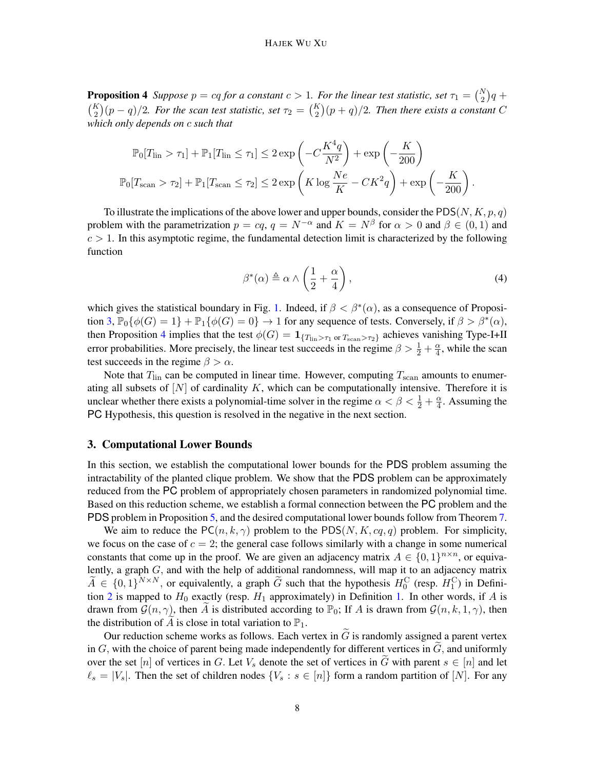**Proposition 4** Suppose  $p = cq$  for a constant  $c > 1$ . For the linear test statistic, set  $\tau_1 = {N \choose 2}q +$  $\binom{K}{2}(p-q)/2$ . For the scan test statistic, set  $\tau_2 = \binom{K}{2}(p+q)/2$ . Then there exists a constant C *which only depends on* c *such that*

$$
\mathbb{P}_0[T_{\text{lin}} > \tau_1] + \mathbb{P}_1[T_{\text{lin}} \le \tau_1] \le 2 \exp\left(-C\frac{K^4 q}{N^2}\right) + \exp\left(-\frac{K}{200}\right)
$$

$$
\mathbb{P}_0[T_{\text{scan}} > \tau_2] + \mathbb{P}_1[T_{\text{scan}} \le \tau_2] \le 2 \exp\left(K \log \frac{Ne}{K} - CK^2 q\right) + \exp\left(-\frac{K}{200}\right).
$$

To illustrate the implications of the above lower and upper bounds, consider the PDS(N, K, p, q) problem with the parametrization  $p = cq, q = N^{-\alpha}$  and  $K = N^{\beta}$  for  $\alpha > 0$  and  $\beta \in (0, 1)$  and  $c > 1$ . In this asymptotic regime, the fundamental detection limit is characterized by the following function

<span id="page-7-0"></span>
$$
\beta^*(\alpha) \triangleq \alpha \wedge \left(\frac{1}{2} + \frac{\alpha}{4}\right),\tag{4}
$$

which gives the statistical boundary in Fig. [1.](#page-3-0) Indeed, if  $\beta < \beta^*(\alpha)$ , as a consequence of Proposi-tion [3,](#page-6-0)  $\mathbb{P}_0\{\phi(G)=1\} + \mathbb{P}_1\{\phi(G)=0\} \to 1$  for any sequence of tests. Conversely, if  $\beta > \beta^*(\alpha)$ , then Proposition [4](#page-6-1) implies that the test  $\phi(G) = 1_{\{T_{\text{lin}} > \tau_1 \text{ or } T_{\text{scan}} > \tau_2\}}$  achieves vanishing Type-I+II error probabilities. More precisely, the linear test succeeds in the regime  $\beta > \frac{1}{2} + \frac{\alpha}{4}$  $\frac{\alpha}{4}$ , while the scan test succeeds in the regime  $\beta > \alpha$ .

Note that  $T_{lin}$  can be computed in linear time. However, computing  $T_{scan}$  amounts to enumerating all subsets of  $[N]$  of cardinality K, which can be computationally intensive. Therefore it is unclear whether there exists a polynomial-time solver in the regime  $\alpha < \beta < \frac{1}{2} + \frac{\alpha}{4}$  $\frac{\alpha}{4}$ . Assuming the PC Hypothesis, this question is resolved in the negative in the next section.

# <span id="page-7-1"></span>3. Computational Lower Bounds

In this section, we establish the computational lower bounds for the PDS problem assuming the intractability of the planted clique problem. We show that the PDS problem can be approximately reduced from the PC problem of appropriately chosen parameters in randomized polynomial time. Based on this reduction scheme, we establish a formal connection between the PC problem and the PDS problem in Proposition [5,](#page-8-0) and the desired computational lower bounds follow from Theorem [7.](#page-9-0)

We aim to reduce the  $PC(n, k, \gamma)$  problem to the PDS(N, K, cq, q) problem. For simplicity, we focus on the case of  $c = 2$ ; the general case follows similarly with a change in some numerical constants that come up in the proof. We are given an adjacency matrix  $A \in \{0,1\}^{n \times n}$ , or equivalently, a graph  $G$ , and with the help of additional randomness, will map it to an adjacency matrix  $\widetilde{A} \in \{0,1\}^{N \times N}$ , or equivalently, a graph  $\widetilde{G}$  such that the hypothesis  $H_0^C$  (resp.  $H_1^C$ ) in Defini-tion [2](#page-1-1) is mapped to  $H_0$  exactly (resp.  $H_1$  approximately) in Definition [1.](#page-1-0) In other words, if A is drawn from  $\mathcal{G}(n, \gamma)$ , then A is distributed according to  $\mathbb{P}_0$ ; If A is drawn from  $\mathcal{G}(n, k, 1, \gamma)$ , then the distribution of A is close in total variation to  $\mathbb{P}_1$ .

Our reduction scheme works as follows. Each vertex in  $\tilde{G}$  is randomly assigned a parent vertex in  $G$ , with the choice of parent being made independently for different vertices in  $G$ , and uniformly over the set [n] of vertices in G. Let  $V_s$  denote the set of vertices in  $\tilde{G}$  with parent  $s \in [n]$  and let  $\ell_s = |V_s|$ . Then the set of children nodes  $\{V_s : s \in [n]\}$  form a random partition of  $[N]$ . For any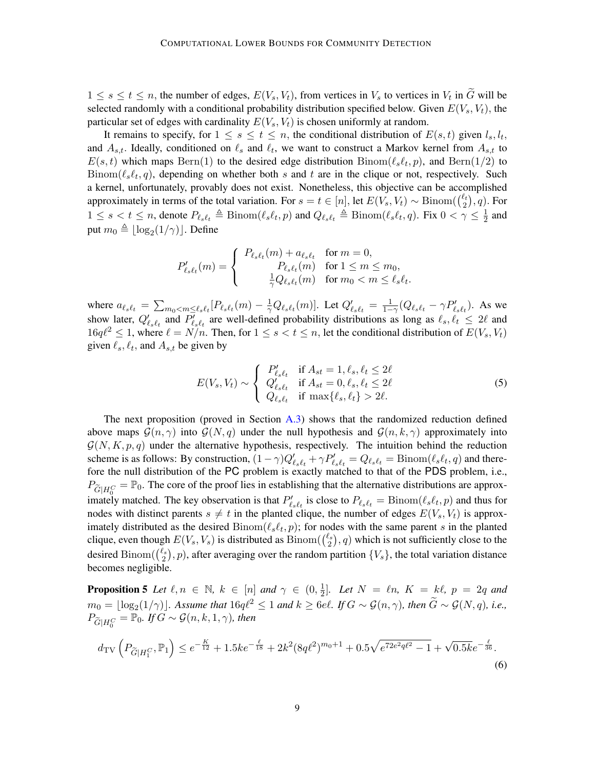$1 \leq s \leq t \leq n$ , the number of edges,  $E(V_s, V_t)$ , from vertices in  $V_s$  to vertices in  $V_t$  in  $G$  will be selected randomly with a conditional probability distribution specified below. Given  $E(V_s, V_t)$ , the particular set of edges with cardinality  $E(V_s, V_t)$  is chosen uniformly at random.

It remains to specify, for  $1 \leq s \leq t \leq n$ , the conditional distribution of  $E(s,t)$  given  $l_s, l_t$ , and  $A_{s,t}$ . Ideally, conditioned on  $\ell_s$  and  $\ell_t$ , we want to construct a Markov kernel from  $A_{s,t}$  to  $E(s,t)$  which maps  $\text{Bern}(1)$  to the desired edge distribution  $\text{Binom}(\ell_s\ell_t, p)$ , and  $\text{Bern}(1/2)$  to  $Binom(\ell_s\ell_t, q)$ , depending on whether both s and t are in the clique or not, respectively. Such a kernel, unfortunately, provably does not exist. Nonetheless, this objective can be accomplished approximately in terms of the total variation. For  $s = t \in [n]$ , let  $E(V_s, V_t) \sim \text{Binom}(\binom{\ell_t}{2})$  $\binom{\ell_t}{2}, q$ . For  $1 \leq s < t \leq n$ , denote  $P_{\ell_s\ell_t} \triangleq \text{Binom}(\ell_s\ell_t, p)$  and  $Q_{\ell_s\ell_t} \triangleq \text{Binom}(\ell_s\ell_t, q)$ . Fix  $0 < \gamma \leq \frac{1}{2}$  $rac{1}{2}$  and put  $m_0 \triangleq \lfloor \log_2(1/\gamma) \rfloor$ . Define

$$
P'_{\ell_s\ell_t}(m) = \begin{cases} P_{\ell_s\ell_t}(m) + a_{\ell_s\ell_t} & \text{for } m = 0, \\ P_{\ell_s\ell_t}(m) & \text{for } 1 \le m \le m_0, \\ \frac{1}{\gamma} Q_{\ell_s\ell_t}(m) & \text{for } m_0 < m \le \ell_s\ell_t. \end{cases}
$$

where  $a_{\ell_s\ell_t} = \sum_{m_0 < m \leq \ell_s\ell_t} [P_{\ell_s\ell_t}(m) - \frac{1}{\gamma} Q_{\ell_s\ell_t}(m)]$ . Let  $Q'_{\ell_s\ell_t} = \frac{1}{1-\gamma} (Q_{\ell_s\ell_t} - \gamma P'_{\ell_s\ell_t})$ . As we show later,  $Q'_{\ell_s \ell_t}$  and  $P'_{\ell_s \ell_t}$  are well-defined probability distributions as long as  $\ell_s, \ell_t \leq 2\ell$  and  $16q\ell^2 \leq 1$ , where  $\ell = N/n$ . Then, for  $1 \leq s < t \leq n$ , let the conditional distribution of  $E(V_s, V_t)$ given  $\ell_s$ ,  $\ell_t$ , and  $A_{s,t}$  be given by

$$
E(V_s, V_t) \sim \begin{cases} P'_{\ell_s \ell_t} & \text{if } A_{st} = 1, \ell_s, \ell_t \le 2\ell \\ Q'_{\ell_s \ell_t} & \text{if } A_{st} = 0, \ell_s, \ell_t \le 2\ell \\ Q_{\ell_s \ell_t} & \text{if } \max\{\ell_s, \ell_t\} > 2\ell. \end{cases} \tag{5}
$$

The next proposition (proved in Section [A.3\)](#page-16-0) shows that the randomized reduction defined above maps  $G(n, \gamma)$  into  $G(N, q)$  under the null hypothesis and  $G(n, k, \gamma)$  approximately into  $\mathcal{G}(N, K, p, q)$  under the alternative hypothesis, respectively. The intuition behind the reduction scheme is as follows: By construction,  $(1 - \gamma)Q'_{\ell_s\ell_t} + \gamma P'_{\ell_s\ell_t} = Q_{\ell_s\ell_t} = \text{Binom}(\ell_s\ell_t, q)$  and therefore the null distribution of the PC problem is exactly matched to that of the PDS problem, i.e.,  $P_{\tilde{G}|H_0^C} = \mathbb{P}_0$ . The core of the proof lies in establishing that the alternative distributions are approximately matched. The key observation is that  $P'_{\ell s\ell_t}$  is close to  $P_{\ell s\ell_t} = \text{Binom}(\ell_s\ell_t, p)$  and thus for nodes with distinct parents  $s \neq t$  in the planted clique, the number of edges  $E(V_s, V_t)$  is approximately distributed as the desired  $Binom(\ell_s\ell_t, p)$ ; for nodes with the same parent s in the planted clique, even though  $E(V_s, V_s)$  is distributed as  $\text{Binom}(\binom{\ell_s}{2})$  $\binom{2s}{2}$ , q) which is not sufficiently close to the desired Binom $(\binom{\ell_s}{2})$  $\{z_{2}^{l_{s}}\}, p$ ), after averaging over the random partition  $\{V_{s}\}\$ , the total variation distance becomes negligible.

<span id="page-8-0"></span>**Proposition 5** Let  $\ell, n \in \mathbb{N}$ ,  $k \in [n]$  and  $\gamma \in (0, \frac{1}{2})$  $\frac{1}{2}$ ]. Let  $N = \ln K = k\ell, p = 2q$  and  $m_0 = \lfloor \log_2(1/\gamma) \rfloor$ *. Assume that*  $16q\ell^2 \leq 1$  *and*  $k \geq 6e\ell$ *. If*  $G \sim \mathcal{G}(n, \gamma)$ *, then*  $\widetilde{G} \sim \mathcal{G}(N, q)$ *, i.e.,*  $P_{\widetilde{G}|H_0^C} = \overline{\mathbb{P}}_0$ *.* If  $G \sim \mathcal{G}(n, k, 1, \gamma)$ *, then* 

<span id="page-8-1"></span>
$$
d_{\text{TV}}\left(P_{\widetilde{G}|H_1^C}, \mathbb{P}_1\right) \le e^{-\frac{K}{12}} + 1.5ke^{-\frac{\ell}{18}} + 2k^2(8q\ell^2)^{m_0+1} + 0.5\sqrt{e^{72e^2q\ell^2} - 1} + \sqrt{0.5ke^{-\frac{\ell}{36}}}.
$$
\n
$$
(6)
$$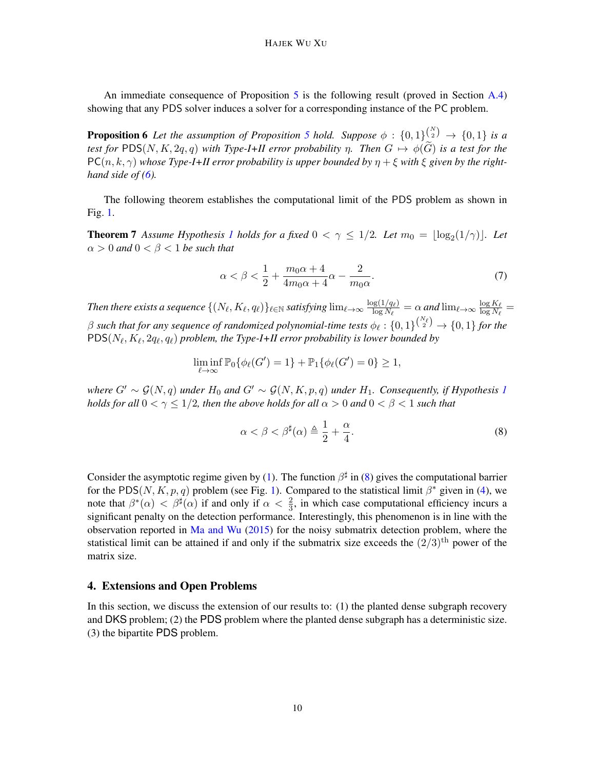An immediate consequence of Proposition [5](#page-8-0) is the following result (proved in Section [A.4\)](#page-23-0) showing that any PDS solver induces a solver for a corresponding instance of the PC problem.

<span id="page-9-1"></span>**Proposition 6** Let the assumption of Proposition [5](#page-8-0) hold. Suppose  $\phi : \{0,1\}^{N \choose 2} \rightarrow \{0,1\}$  is a *test for* PDS(N, K, 2q, q) with Type-I+II error probability  $\eta$ . Then  $G \mapsto \phi(\widetilde{G})$  is a test for the  $PC(n, k, \gamma)$  whose Type-I+II error probability is upper bounded by  $\eta + \xi$  with  $\xi$  given by the right*hand side of [\(6\)](#page-8-1).*

The following theorem establishes the computational limit of the PDS problem as shown in Fig. [1.](#page-3-0)

**Theorem 7** Assume Hypothesis [1](#page-1-2) holds for a fixed  $0 < \gamma \leq 1/2$ . Let  $m_0 = \lfloor \log_2(1/\gamma) \rfloor$ . Let  $\alpha > 0$  and  $0 < \beta < 1$  be such that

<span id="page-9-2"></span>
$$
\alpha < \beta < \frac{1}{2} + \frac{m_0 \alpha + 4}{4 m_0 \alpha + 4} \alpha - \frac{2}{m_0 \alpha}.\tag{7}
$$

*Then there exists a sequence*  $\{(N_\ell, K_\ell, q_\ell)\}_{\ell \in \mathbb{N}}$  *satisfying*  $\lim_{\ell \to \infty} \frac{\log(1/q_\ell)}{\log N_\ell}$  $\frac{\log(1/q_\ell)}{\log N_\ell} = \alpha$  and  $\lim_{\ell\to\infty} \frac{\log K_\ell}{\log N_\ell}$  $\frac{\log \kappa_\ell}{\log N_\ell} =$  $\beta$  such that for any sequence of randomized polynomial-time tests  $\phi_\ell : \{0,1\}^{\binom{N_\ell}{2}} \to \{0,1\}$  for the  $\text{PDS}(N_\ell, K_\ell, 2q_\ell, q_\ell)$  problem, the Type-I+II error probability is lower bounded by

$$
\liminf_{\ell \to \infty} \mathbb{P}_{0}\{\phi_{\ell}(G') = 1\} + \mathbb{P}_{1}\{\phi_{\ell}(G') = 0\} \ge 1,
$$

*where*  $G' \sim \mathcal{G}(N, q)$  *under*  $H_0$  *and*  $G' \sim \mathcal{G}(N, K, p, q)$  *under*  $H_1$  $H_1$ *. Consequently, if Hypothesis* 1 *holds for all*  $0 < \gamma \leq 1/2$ *, then the above holds for all*  $\alpha > 0$  *and*  $0 < \beta < 1$  *such that* 

<span id="page-9-0"></span>
$$
\alpha < \beta < \beta^{\sharp}(\alpha) \triangleq \frac{1}{2} + \frac{\alpha}{4}.\tag{8}
$$

Consider the asymptotic regime given by [\(1\)](#page-2-1). The function  $\beta^{\sharp}$  in [\(8\)](#page-9-0) gives the computational barrier for the PDS(N, K, p, q) problem (see Fig. [1\)](#page-3-0). Compared to the statistical limit  $\beta^*$  given in [\(4\)](#page-7-0), we note that  $\beta^*(\alpha) < \beta^{\sharp}(\alpha)$  if and only if  $\alpha < \frac{2}{3}$ , in which case computational efficiency incurs a significant penalty on the detection performance. Interestingly, this phenomenon is in line with the observation reported in  $Ma$  and Wu [\(2015\)](#page-13-11) for the noisy submatrix detection problem, where the statistical limit can be attained if and only if the submatrix size exceeds the  $(2/3)$ <sup>th</sup> power of the matrix size.

# 4. Extensions and Open Problems

In this section, we discuss the extension of our results to: (1) the planted dense subgraph recovery and DKS problem; (2) the PDS problem where the planted dense subgraph has a deterministic size. (3) the bipartite PDS problem.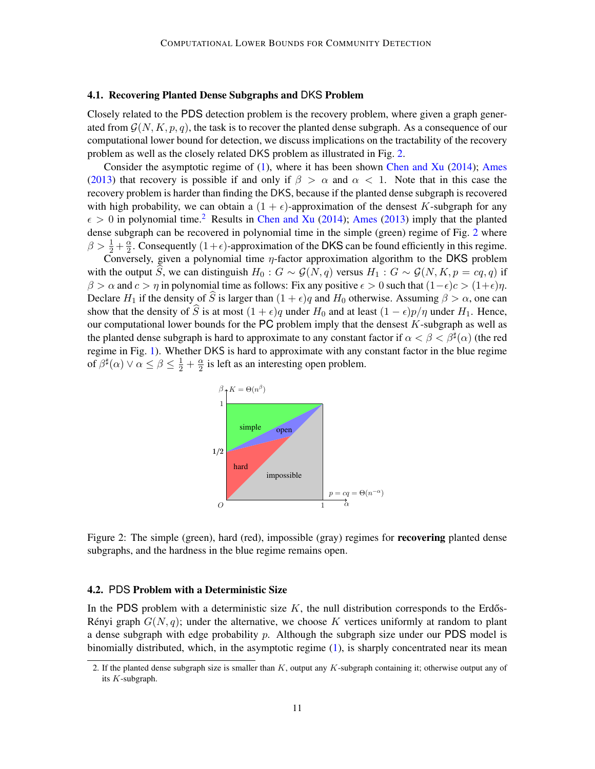#### <span id="page-10-0"></span>4.1. Recovering Planted Dense Subgraphs and DKS Problem

Closely related to the PDS detection problem is the recovery problem, where given a graph generated from  $\mathcal{G}(N, K, p, q)$ , the task is to recover the planted dense subgraph. As a consequence of our computational lower bound for detection, we discuss implications on the tractability of the recovery problem as well as the closely related DKS problem as illustrated in Fig. [2.](#page-10-2)

Consider the asymptotic regime of [\(1\)](#page-2-1), where it has been shown [Chen and Xu](#page-13-1) [\(2014\)](#page-13-1); [Ames](#page-12-10) [\(2013\)](#page-12-10) that recovery is possible if and only if  $\beta > \alpha$  and  $\alpha < 1$ . Note that in this case the recovery problem is harder than finding the DKS, because if the planted dense subgraph is recovered with high probability, we can obtain a  $(1 + \epsilon)$ -approximation of the densest K-subgraph for any  $\epsilon > 0$  in polynomial time.<sup>[2](#page-10-3)</sup> Results in [Chen and Xu](#page-13-1) [\(2014\)](#page-13-1); [Ames](#page-12-10) [\(2013\)](#page-12-10) imply that the planted dense subgraph can be recovered in polynomial time in the simple (green) regime of Fig. [2](#page-10-2) where  $\beta > \frac{1}{2} + \frac{\alpha}{2}$  $\frac{\alpha}{2}$ . Consequently  $(1+\epsilon)$ -approximation of the DKS can be found efficiently in this regime.

Conversely, given a polynomial time  $\eta$ -factor approximation algorithm to the DKS problem with the output S, we can distinguish  $H_0 : G \sim \mathcal{G}(N,q)$  versus  $H_1 : G \sim \mathcal{G}(N,K,p = cq,q)$  if  $\beta > \alpha$  and  $c > \eta$  in polynomial time as follows: Fix any positive  $\epsilon > 0$  such that  $(1-\epsilon)c > (1+\epsilon)\eta$ . Declare  $H_1$  if the density of S is larger than  $(1 + \epsilon)q$  and  $H_0$  otherwise. Assuming  $\beta > \alpha$ , one can show that the density of  $\widehat{S}$  is at most  $(1 + \epsilon)q$  under  $H_0$  and at least  $(1 - \epsilon)p/\eta$  under  $H_1$ . Hence, our computational lower bounds for the PC problem imply that the densest  $K$ -subgraph as well as the planted dense subgraph is hard to approximate to any constant factor if  $\alpha < \beta < \beta^{\sharp}(\alpha)$  (the red regime in Fig. [1\)](#page-3-0). Whether DKS is hard to approximate with any constant factor in the blue regime of  $\beta^{\sharp}(\alpha) \vee \alpha \leq \beta \leq \frac{1}{2} + \frac{\alpha}{2}$  $\frac{\alpha}{2}$  is left as an interesting open problem.

<span id="page-10-2"></span>

Figure 2: The simple (green), hard (red), impossible (gray) regimes for **recovering** planted dense subgraphs, and the hardness in the blue regime remains open.

# <span id="page-10-1"></span>4.2. PDS Problem with a Deterministic Size

In the PDS problem with a deterministic size  $K$ , the null distribution corresponds to the Erdős-Rényi graph  $G(N, q)$ ; under the alternative, we choose K vertices uniformly at random to plant a dense subgraph with edge probability  $p$ . Although the subgraph size under our PDS model is binomially distributed, which, in the asymptotic regime  $(1)$ , is sharply concentrated near its mean

<span id="page-10-3"></span><sup>2.</sup> If the planted dense subgraph size is smaller than  $K$ , output any  $K$ -subgraph containing it; otherwise output any of its K-subgraph.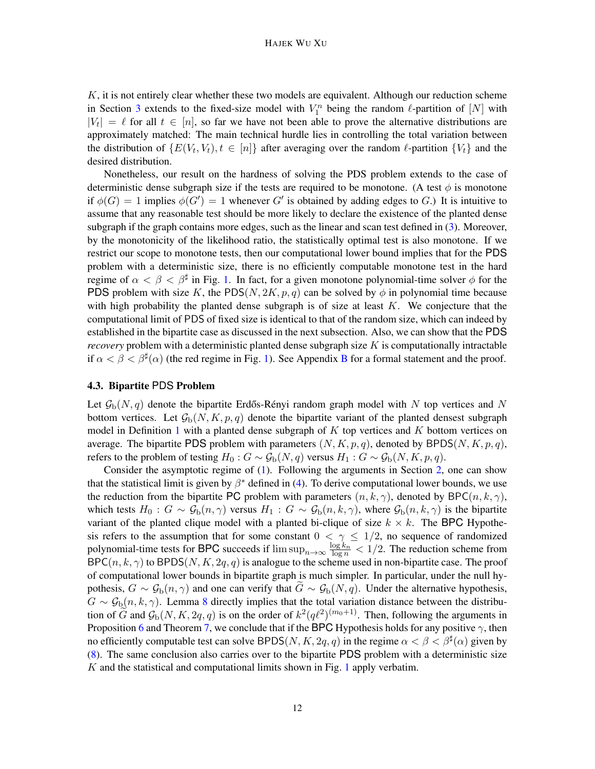$K$ , it is not entirely clear whether these two models are equivalent. Although our reduction scheme in Section [3](#page-7-1) extends to the fixed-size model with  $V_1^n$  being the random  $\ell$ -partition of  $[N]$  with  $|V_t| = \ell$  for all  $t \in [n]$ , so far we have not been able to prove the alternative distributions are approximately matched: The main technical hurdle lies in controlling the total variation between the distribution of  $\{E(V_t, V_t), t \in [n]\}$  after averaging over the random  $\ell$ -partition  $\{V_t\}$  and the desired distribution.

Nonetheless, our result on the hardness of solving the PDS problem extends to the case of deterministic dense subgraph size if the tests are required to be monotone. (A test  $\phi$  is monotone if  $\phi(G) = 1$  implies  $\phi(G') = 1$  whenever G' is obtained by adding edges to G.) It is intuitive to assume that any reasonable test should be more likely to declare the existence of the planted dense subgraph if the graph contains more edges, such as the linear and scan test defined in [\(3\)](#page-6-2). Moreover, by the monotonicity of the likelihood ratio, the statistically optimal test is also monotone. If we restrict our scope to monotone tests, then our computational lower bound implies that for the PDS problem with a deterministic size, there is no efficiently computable monotone test in the hard regime of  $\alpha < \beta < \beta^{\sharp}$  in Fig. [1.](#page-3-0) In fact, for a given monotone polynomial-time solver  $\phi$  for the PDS problem with size K, the PDS(N, 2K, p, q) can be solved by  $\phi$  in polynomial time because with high probability the planted dense subgraph is of size at least  $K$ . We conjecture that the computational limit of PDS of fixed size is identical to that of the random size, which can indeed by established in the bipartite case as discussed in the next subsection. Also, we can show that the PDS *recovery* problem with a deterministic planted dense subgraph size K is computationally intractable if  $\alpha < \beta < \beta^{\sharp}(\alpha)$  (the red regime in Fig. [1\)](#page-3-0). See Appendix [B](#page-25-0) for a formal statement and the proof.

# <span id="page-11-0"></span>4.3. Bipartite PDS Problem

Let  $\mathcal{G}_b(N, q)$  denote the bipartite Erdős-Rényi random graph model with N top vertices and N bottom vertices. Let  $\mathcal{G}_b(N, K, p, q)$  denote the bipartite variant of the planted densest subgraph model in Definition [1](#page-1-0) with a planted dense subgraph of  $K$  top vertices and  $K$  bottom vertices on average. The bipartite PDS problem with parameters  $(N, K, p, q)$ , denoted by BPDS $(N, K, p, q)$ , refers to the problem of testing  $H_0$  :  $G \sim \mathcal{G}_b(N,q)$  versus  $H_1$  :  $G \sim \mathcal{G}_b(N,K,p,q)$ .

Consider the asymptotic regime of [\(1\)](#page-2-1). Following the arguments in Section [2,](#page-6-3) one can show that the statistical limit is given by  $\beta^*$  defined in [\(4\)](#page-7-0). To derive computational lower bounds, we use the reduction from the bipartite PC problem with parameters  $(n, k, \gamma)$ , denoted by BPC $(n, k, \gamma)$ , which tests  $H_0$ :  $G \sim \mathcal{G}_b(n, \gamma)$  versus  $H_1$ :  $G \sim \mathcal{G}_b(n, k, \gamma)$ , where  $\mathcal{G}_b(n, k, \gamma)$  is the bipartite variant of the planted clique model with a planted bi-clique of size  $k \times k$ . The BPC Hypothesis refers to the assumption that for some constant  $0 < \gamma \leq 1/2$ , no sequence of randomized polynomial-time tests for BPC succeeds if  $\limsup_{n\to\infty} \frac{\log k_n}{\log n} < 1/2$ . The reduction scheme from  $\mathsf{BPC}(n, k, \gamma)$  to  $\mathsf{BPDS}(N, K, 2q, q)$  is analogue to the scheme used in non-bipartite case. The proof of computational lower bounds in bipartite graph is much simpler. In particular, under the null hypothesis,  $G \sim \mathcal{G}_b(n, \gamma)$  and one can verify that  $\tilde{G} \sim \mathcal{G}_b(N, q)$ . Under the alternative hypothesis,  $G \sim \mathcal{G}_b(n, k, \gamma)$ . Lemma [8](#page-16-1) directly implies that the total variation distance between the distribution of  $\tilde{G}$  and  $\mathcal{G}_{b}(N, K, 2q, q)$  is on the order of  $k^2(q\ell^2)^{(m_0+1)}$ . Then, following the arguments in Proposition [6](#page-9-1) and Theorem [7,](#page-9-0) we conclude that if the BPC Hypothesis holds for any positive  $\gamma$ , then no efficiently computable test can solve BPDS(N, K, 2q, q) in the regime  $\alpha < \beta < \beta^{\sharp}(\alpha)$  given by [\(8\)](#page-9-0). The same conclusion also carries over to the bipartite PDS problem with a deterministic size  $K$  and the statistical and computational limits shown in Fig. [1](#page-3-0) apply verbatim.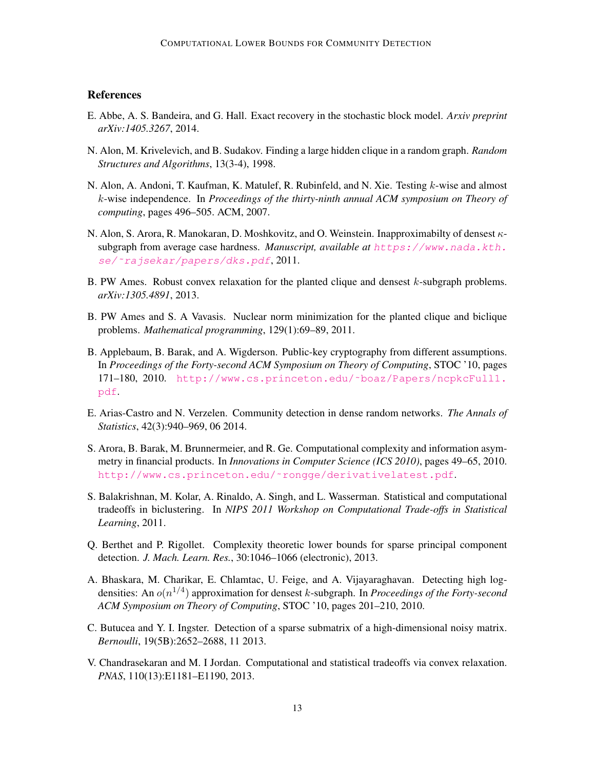# **References**

- <span id="page-12-6"></span>E. Abbe, A. S. Bandeira, and G. Hall. Exact recovery in the stochastic block model. *Arxiv preprint arXiv:1405.3267*, 2014.
- <span id="page-12-1"></span>N. Alon, M. Krivelevich, and B. Sudakov. Finding a large hidden clique in a random graph. *Random Structures and Algorithms*, 13(3-4), 1998.
- <span id="page-12-3"></span>N. Alon, A. Andoni, T. Kaufman, K. Matulef, R. Rubinfeld, and N. Xie. Testing  $k$ -wise and almost k-wise independence. In *Proceedings of the thirty-ninth annual ACM symposium on Theory of computing*, pages 496–505. ACM, 2007.
- <span id="page-12-7"></span>N. Alon, S. Arora, R. Manokaran, D. Moshkovitz, and O. Weinstein. Inapproximabilty of densest κsubgraph from average case hardness. *Manuscript, available at* [https://www.nada.kth.](https://www.nada.kth.se/~rajsekar/papers/dks.pdf) se/~rajsekar/papers/dks.pdf, 2011.
- <span id="page-12-10"></span>B. PW Ames. Robust convex relaxation for the planted clique and densest k-subgraph problems. *arXiv:1305.4891*, 2013.
- <span id="page-12-2"></span>B. PW Ames and S. A Vavasis. Nuclear norm minimization for the planted clique and biclique problems. *Mathematical programming*, 129(1):69–89, 2011.
- <span id="page-12-5"></span>B. Applebaum, B. Barak, and A. Wigderson. Public-key cryptography from different assumptions. In *Proceedings of the Forty-second ACM Symposium on Theory of Computing*, STOC '10, pages 171–180, 2010. [http://www.cs.princeton.edu/˜boaz/Papers/ncpkcFull1.](http://www.cs.princeton.edu/~boaz/Papers/ncpkcFull1.pdf) [pdf](http://www.cs.princeton.edu/~boaz/Papers/ncpkcFull1.pdf).
- <span id="page-12-0"></span>E. Arias-Castro and N. Verzelen. Community detection in dense random networks. *The Annals of Statistics*, 42(3):940–969, 06 2014.
- <span id="page-12-12"></span>S. Arora, B. Barak, M. Brunnermeier, and R. Ge. Computational complexity and information asymmetry in financial products. In *Innovations in Computer Science (ICS 2010)*, pages 49–65, 2010. [http://www.cs.princeton.edu/˜rongge/derivativelatest.pdf](http://www.cs.princeton.edu/~rongge/derivativelatest.pdf).
- <span id="page-12-8"></span>S. Balakrishnan, M. Kolar, A. Rinaldo, A. Singh, and L. Wasserman. Statistical and computational tradeoffs in biclustering. In *NIPS 2011 Workshop on Computational Trade-offs in Statistical Learning*, 2011.
- <span id="page-12-4"></span>Q. Berthet and P. Rigollet. Complexity theoretic lower bounds for sparse principal component detection. *J. Mach. Learn. Res.*, 30:1046–1066 (electronic), 2013.
- <span id="page-12-11"></span>A. Bhaskara, M. Charikar, E. Chlamtac, U. Feige, and A. Vijayaraghavan. Detecting high logdensities: An o(n 1/4 ) approximation for densest k-subgraph. In *Proceedings of the Forty-second ACM Symposium on Theory of Computing*, STOC '10, pages 201–210, 2010.
- <span id="page-12-13"></span>C. Butucea and Y. I. Ingster. Detection of a sparse submatrix of a high-dimensional noisy matrix. *Bernoulli*, 19(5B):2652–2688, 11 2013.
- <span id="page-12-9"></span>V. Chandrasekaran and M. I Jordan. Computational and statistical tradeoffs via convex relaxation. *PNAS*, 110(13):E1181–E1190, 2013.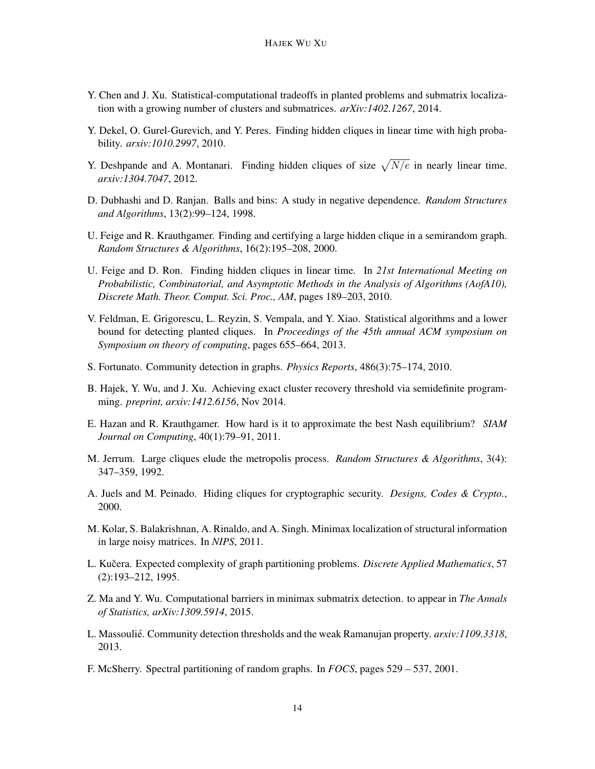- <span id="page-13-1"></span>Y. Chen and J. Xu. Statistical-computational tradeoffs in planted problems and submatrix localization with a growing number of clusters and submatrices. *arXiv:1402.1267*, 2014.
- <span id="page-13-5"></span>Y. Dekel, O. Gurel-Gurevich, and Y. Peres. Finding hidden cliques in linear time with high probability. *arxiv:1010.2997*, 2010.
- <span id="page-13-6"></span>Y. Deshpande and A. Montanari. Finding hidden cliques of size  $\sqrt{N/e}$  in nearly linear time. *arxiv:1304.7047*, 2012.
- <span id="page-13-16"></span>D. Dubhashi and D. Ranjan. Balls and bins: A study in negative dependence. *Random Structures and Algorithms*, 13(2):99–124, 1998.
- <span id="page-13-2"></span>U. Feige and R. Krauthgamer. Finding and certifying a large hidden clique in a semirandom graph. *Random Structures & Algorithms*, 16(2):195–208, 2000.
- <span id="page-13-4"></span>U. Feige and D. Ron. Finding hidden cliques in linear time. In *21st International Meeting on Probabilistic, Combinatorial, and Asymptotic Methods in the Analysis of Algorithms (AofA10), Discrete Math. Theor. Comput. Sci. Proc., AM*, pages 189–203, 2010.
- <span id="page-13-10"></span>V. Feldman, E. Grigorescu, L. Reyzin, S. Vempala, and Y. Xiao. Statistical algorithms and a lower bound for detecting planted cliques. In *Proceedings of the 45th annual ACM symposium on Symposium on theory of computing*, pages 655–664, 2013.
- <span id="page-13-0"></span>S. Fortunato. Community detection in graphs. *Physics Reports*, 486(3):75–174, 2010.
- <span id="page-13-14"></span>B. Hajek, Y. Wu, and J. Xu. Achieving exact cluster recovery threshold via semidefinite programming. *preprint, arxiv:1412.6156*, Nov 2014.
- <span id="page-13-8"></span>E. Hazan and R. Krauthgamer. How hard is it to approximate the best Nash equilibrium? *SIAM Journal on Computing*, 40(1):79–91, 2011.
- <span id="page-13-7"></span>M. Jerrum. Large cliques elude the metropolis process. *Random Structures & Algorithms*, 3(4): 347–359, 1992.
- <span id="page-13-9"></span>A. Juels and M. Peinado. Hiding cliques for cryptographic security. *Designs, Codes & Crypto.*, 2000.
- <span id="page-13-15"></span>M. Kolar, S. Balakrishnan, A. Rinaldo, and A. Singh. Minimax localization of structural information in large noisy matrices. In *NIPS*, 2011.
- <span id="page-13-12"></span>L. Kučera. Expected complexity of graph partitioning problems. *Discrete Applied Mathematics*, 57 (2):193–212, 1995.
- <span id="page-13-11"></span>Z. Ma and Y. Wu. Computational barriers in minimax submatrix detection. to appear in *The Annals of Statistics, arXiv:1309.5914*, 2015.
- <span id="page-13-13"></span>L. Massoulié. Community detection thresholds and the weak Ramanujan property.  $arxiv:1109.3318$ , 2013.
- <span id="page-13-3"></span>F. McSherry. Spectral partitioning of random graphs. In *FOCS*, pages 529 – 537, 2001.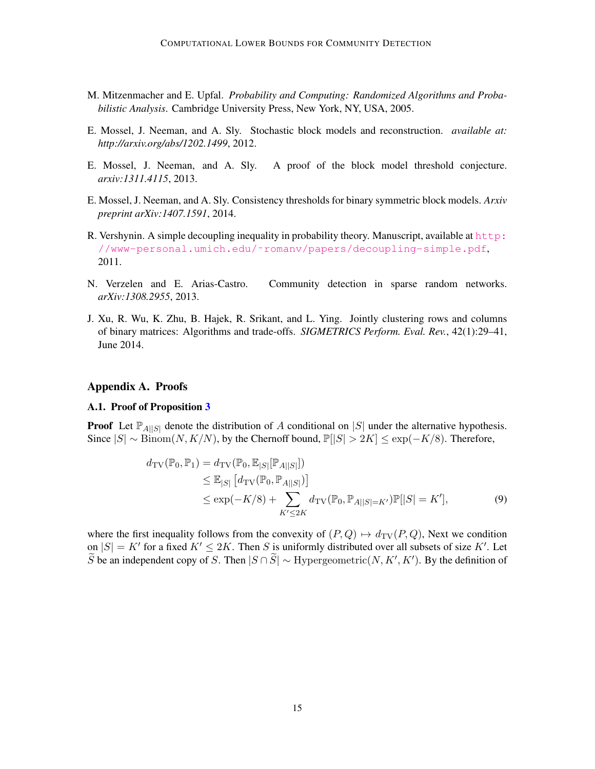- <span id="page-14-7"></span>M. Mitzenmacher and E. Upfal. *Probability and Computing: Randomized Algorithms and Probabilistic Analysis*. Cambridge University Press, New York, NY, USA, 2005.
- <span id="page-14-1"></span>E. Mossel, J. Neeman, and A. Sly. Stochastic block models and reconstruction. *available at: http://arxiv.org/abs/1202.1499*, 2012.
- <span id="page-14-2"></span>E. Mossel, J. Neeman, and A. Sly. A proof of the block model threshold conjecture. *arxiv:1311.4115*, 2013.
- <span id="page-14-3"></span>E. Mossel, J. Neeman, and A. Sly. Consistency thresholds for binary symmetric block models. *Arxiv preprint arXiv:1407.1591*, 2014.
- <span id="page-14-8"></span>R. Vershynin. A simple decoupling inequality in probability theory. Manuscript, available at [http:](http://www-personal.umich.edu/~romanv/papers/decoupling-simple.pdf) [//www-personal.umich.edu/˜romanv/papers/decoupling-simple.pdf](http://www-personal.umich.edu/~romanv/papers/decoupling-simple.pdf), 2011.
- <span id="page-14-0"></span>N. Verzelen and E. Arias-Castro. Community detection in sparse random networks. *arXiv:1308.2955*, 2013.
- <span id="page-14-4"></span>J. Xu, R. Wu, K. Zhu, B. Hajek, R. Srikant, and L. Ying. Jointly clustering rows and columns of binary matrices: Algorithms and trade-offs. *SIGMETRICS Perform. Eval. Rev.*, 42(1):29–41, June 2014.

# Appendix A. Proofs

#### <span id="page-14-5"></span>A.1. Proof of Proposition [3](#page-6-0)

**Proof** Let  $\mathbb{P}_{A||S|}$  denote the distribution of A conditional on |S| under the alternative hypothesis. Since  $|S| \sim \text{Binom}(N, K/N)$ , by the Chernoff bound,  $\mathbb{P}[|S| > 2K] \leq \exp(-K/8)$ . Therefore,

<span id="page-14-6"></span>
$$
d_{\text{TV}}(\mathbb{P}_0, \mathbb{P}_1) = d_{\text{TV}}(\mathbb{P}_0, \mathbb{E}_{|S|}[\mathbb{P}_{A||S|}])
$$
  
\n
$$
\leq \mathbb{E}_{|S|} [d_{\text{TV}}(\mathbb{P}_0, \mathbb{P}_{A||S|})]
$$
  
\n
$$
\leq \exp(-K/8) + \sum_{K' \leq 2K} d_{\text{TV}}(\mathbb{P}_0, \mathbb{P}_{A||S| = K'}) \mathbb{P}[|S| = K'],
$$
\n(9)

where the first inequality follows from the convexity of  $(P, Q) \mapsto d_{TV}(P, Q)$ , Next we condition on  $|S| = K'$  for a fixed  $K' \leq 2K$ . Then S is uniformly distributed over all subsets of size K'. Let  $\widetilde{S}$  be an independent copy of S. Then  $|S \cap \widetilde{S}| \sim$  Hypergeometric $(N, K', K')$ . By the definition of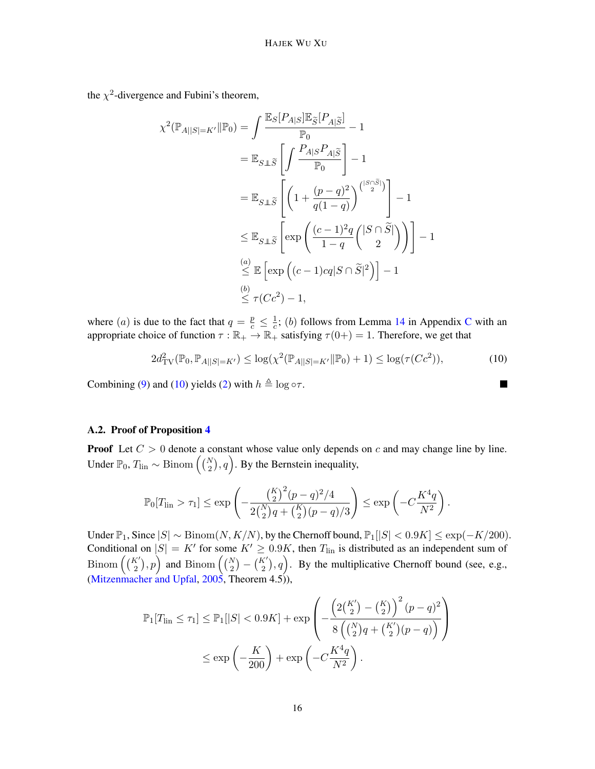the  $\chi^2$ -divergence and Fubini's theorem,

$$
\chi^{2}(\mathbb{P}_{A||S|=K'}||\mathbb{P}_{0}) = \int \frac{\mathbb{E}_{S}[P_{A|S}]\mathbb{E}_{\tilde{S}}[P_{A|\tilde{S}}]}{\mathbb{P}_{0}} - 1
$$
  
\n
$$
= \mathbb{E}_{S \perp \tilde{S}} \left[ \int \frac{P_{A|S}P_{A|\tilde{S}}}{\mathbb{P}_{0}} \right] - 1
$$
  
\n
$$
= \mathbb{E}_{S \perp \tilde{S}} \left[ \left( 1 + \frac{(p-q)^{2}}{q(1-q)} \right)^{\binom{|S \cap \tilde{S}|}{2}} \right] - 1
$$
  
\n
$$
\leq \mathbb{E}_{S \perp \tilde{S}} \left[ \exp \left( \frac{(c-1)^{2}q}{1-q} \binom{|S \cap \tilde{S}|}{2} \right) \right] - 1
$$
  
\n
$$
\stackrel{(a)}{\leq} \mathbb{E} \left[ \exp \left( (c-1)cq|S \cap \tilde{S}|^{2} \right) \right] - 1
$$
  
\n
$$
\stackrel{(b)}{\leq} \tau(Cc^{2}) - 1,
$$

where (*a*) is due to the fact that  $q = \frac{p}{c} \leq \frac{1}{c}$  $\frac{1}{c}$ ; (b) follows from Lemma [14](#page-26-0) in Appendix [C](#page-26-1) with an appropriate choice of function  $\tau : \mathbb{R}_+ \to \mathbb{R}_+$  satisfying  $\tau(0+) = 1$ . Therefore, we get that

$$
2d_{\text{TV}}^2(\mathbb{P}_0, \mathbb{P}_{A||S|=K'}) \le \log(\chi^2(\mathbb{P}_{A||S|=K'}||\mathbb{P}_0) + 1) \le \log(\tau(Cc^2)),\tag{10}
$$

Combining [\(9\)](#page-14-6) and [\(10\)](#page-15-0) yields [\(2\)](#page-6-4) with  $h \triangleq \log \circ \tau$ .

#### A.2. Proof of Proposition [4](#page-6-1)

**Proof** Let  $C > 0$  denote a constant whose value only depends on c and may change line by line. Under  $\mathbb{P}_0$ ,  $T_{\text{lin}} \sim \text{Binom}\left(\binom{N}{2}, q\right)$ . By the Bernstein inequality,

$$
\mathbb{P}_0[T_{\text{lin}} > \tau_1] \le \exp\left(-\frac{\left(\frac{K}{2}\right)^2 (p-q)^2/4}{2\binom{N}{2}q + \binom{K}{2}(p-q)/3}\right) \le \exp\left(-C\frac{K^4q}{N^2}\right).
$$

Under  $\mathbb{P}_1$ , Since  $|S| \sim \text{Binom}(N, K/N)$ , by the Chernoff bound,  $\mathbb{P}_1[|S| < 0.9K] \leq \exp(-K/200)$ . Conditional on  $|S| = K'$  for some  $K' \geq 0.9K$ , then  $T_{lin}$  is distributed as an independent sum of Binom  $((\binom{K'}{2}, p)$  and Binom  $((\binom{N}{2} - (\binom{K'}{2}, q))$ . By the multiplicative Chernoff bound (see, e.g., [\(Mitzenmacher and Upfal,](#page-14-7) [2005,](#page-14-7) Theorem 4.5)),

$$
\mathbb{P}_1[T_{\text{lin}} \le \tau_1] \le \mathbb{P}_1[|S| < 0.9K] + \exp\left(-\frac{\left(2\binom{K'}{2} - \binom{K}{2}\right)^2 (p-q)^2}{8\left(\binom{N}{2}q + \binom{K'}{2}(p-q)\right)}\right) \le \exp\left(-\frac{K}{200}\right) + \exp\left(-C\frac{K^4 q}{N^2}\right).
$$

<span id="page-15-0"></span> $\blacksquare$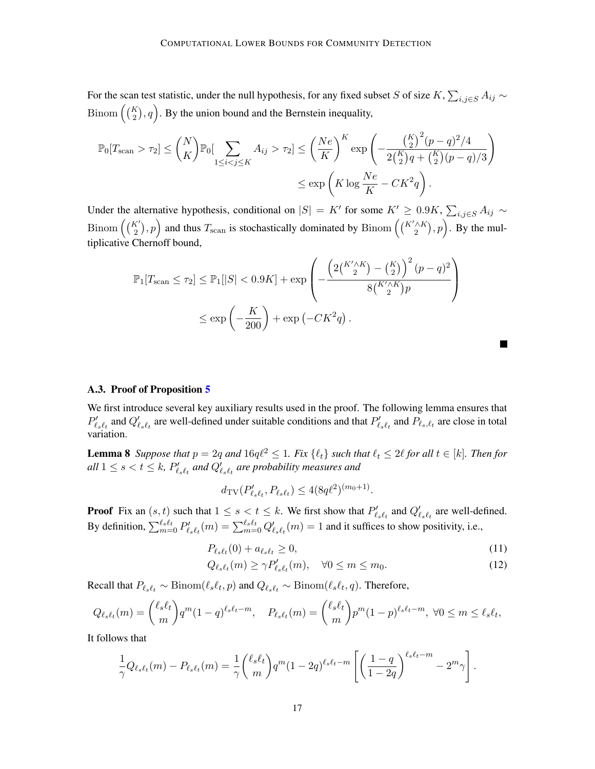For the scan test statistic, under the null hypothesis, for any fixed subset S of size K,  $\sum_{i,j\in S} A_{ij} \sim$ Binom  $((\binom{K}{2}, q)$ . By the union bound and the Bernstein inequality,

$$
\mathbb{P}_0[T_{\text{scan}} > \tau_2] \le \binom{N}{K} \mathbb{P}_0[\sum_{1 \le i < j \le K} A_{ij} > \tau_2] \le \left(\frac{Ne}{K}\right)^K \exp\left(-\frac{\left(\frac{K}{2}\right)^2 (p-q)^2 / 4}{2\left(\frac{K}{2}\right)q + \left(\frac{K}{2}\right)(p-q) / 3}\right) \le \exp\left(K \log \frac{Ne}{K} - CK^2 q\right).
$$

Under the alternative hypothesis, conditional on  $|S| = K'$  for some  $K' \geq 0.9K$ ,  $\sum_{i,j \in S} A_{ij} \sim$ Binom  $((\binom{K'}{2}, p)$  and thus  $T_{\text{scan}}$  is stochastically dominated by Binom  $((\binom{K'\wedge K}{2}, p)$ . By the multiplicative Chernoff bound,

$$
\mathbb{P}_1[T_{\text{scan}} \le \tau_2] \le \mathbb{P}_1[|S| < 0.9K] + \exp\left(-\frac{\left(2\binom{K'\wedge K}{2} - \binom{K}{2}\right)^2 (p-q)^2}{8\binom{K'\wedge K}{2}p}\right) \le \exp\left(-\frac{K}{200}\right) + \exp\left(-CK^2q\right).
$$

#### <span id="page-16-0"></span>A.3. Proof of Proposition [5](#page-8-0)

<span id="page-16-1"></span>We first introduce several key auxiliary results used in the proof. The following lemma ensures that  $P'_{\ell_s\ell_t}$  and  $Q'_{\ell_s\ell_t}$  are well-defined under suitable conditions and that  $P'_{\ell_s\ell_t}$  and  $P_{\ell_s,\ell_t}$  are close in total variation.

**Lemma 8** *Suppose that*  $p = 2q$  *and*  $16q\ell^2 \leq 1$ *. Fix*  $\{\ell_t\}$  *such that*  $\ell_t \leq 2\ell$  *for all*  $t \in [k]$ *. Then for*  $\mathit{all} \ 1 \leq s < t \leq k$ ,  $\mathit{P}_{\ell_s \ell_t}^{\prime}$  and  $\mathit{Q}_{\ell_s \ell_t}^{\prime}$  are probability measures and

$$
d_{\mathrm{TV}}(P'_{\ell_s \ell_t}, P_{\ell_s \ell_t}) \le 4(8q\ell^2)^{(m_0+1)}.
$$

**Proof** Fix an  $(s, t)$  such that  $1 \le s < t \le k$ . We first show that  $P'_{\ell s \ell_t}$  and  $Q'_{\ell s \ell_t}$  are well-defined. By definition,  $\sum_{m=0}^{\ell_s \ell_t} P'_{\ell_s \ell_t}(m) = \sum_{m=0}^{\ell_s \ell_t} Q'_{\ell_s \ell_t}(m) = 1$  and it suffices to show positivity, i.e.,

$$
P_{\ell_s\ell_t}(0) + a_{\ell_s\ell_t} \ge 0,\tag{11}
$$

<span id="page-16-3"></span><span id="page-16-2"></span>П

$$
Q_{\ell_s\ell_t}(m) \ge \gamma P'_{\ell_s\ell_t}(m), \quad \forall 0 \le m \le m_0.
$$
\n(12)

Recall that  $P_{\ell_s\ell_t} \sim \text{Binom}(\ell_s\ell_t, p)$  and  $Q_{\ell_s\ell_t} \sim \text{Binom}(\ell_s\ell_t, q)$ . Therefore,

$$
Q_{\ell_s\ell_t}(m) = {\ell_s\ell_t \choose m} q^m (1-q)^{\ell_s\ell_t-m}, \quad P_{\ell_s\ell_t}(m) = {\ell_s\ell_t \choose m} p^m (1-p)^{\ell_s\ell_t-m}, \ \forall 0 \le m \le \ell_s\ell_t,
$$

It follows that

$$
\frac{1}{\gamma}Q_{\ell_s\ell_t}(m)-P_{\ell_s\ell_t}(m)=\frac{1}{\gamma}\binom{\ell_s\ell_t}{m}q^m(1-2q)^{\ell_s\ell_t-m}\left[\left(\frac{1-q}{1-2q}\right)^{\ell_s\ell_t-m}-2^m\gamma\right].
$$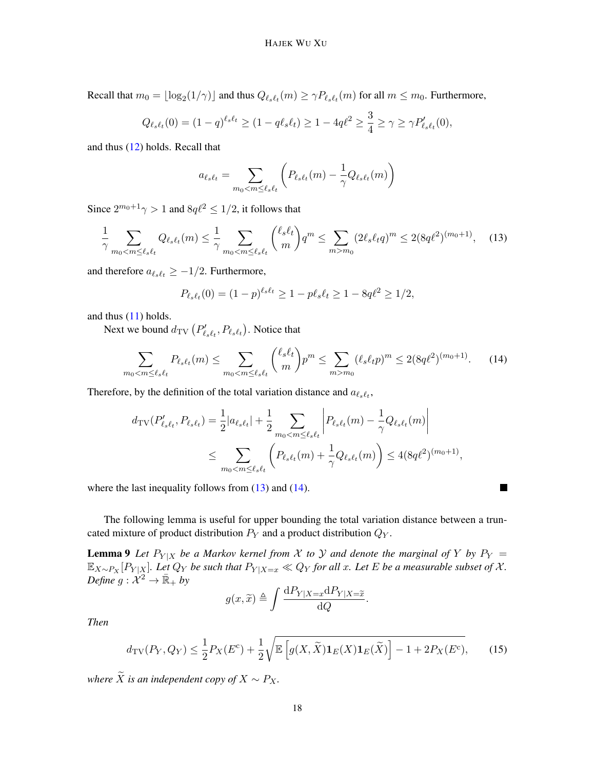Recall that  $m_0 = \lfloor \log_2(1/\gamma) \rfloor$  and thus  $Q_{\ell_s\ell_t}(m) \ge \gamma P_{\ell_s\ell_t}(m)$  for all  $m \le m_0$ . Furthermore,

$$
Q_{\ell_s\ell_t}(0) = (1-q)^{\ell_s\ell_t} \ge (1-q\ell_s\ell_t) \ge 1-4q\ell^2 \ge \frac{3}{4} \ge \gamma \ge \gamma P'_{\ell_s\ell_t}(0),
$$

and thus [\(12\)](#page-16-2) holds. Recall that

$$
a_{\ell_s\ell_t} = \sum_{m_0 < m \leq \ell_s\ell_t} \left( P_{\ell_s\ell_t}(m) - \frac{1}{\gamma} Q_{\ell_s\ell_t}(m) \right)
$$

Since  $2^{m_0+1}\gamma > 1$  and  $8q\ell^2 \leq 1/2$ , it follows that

$$
\frac{1}{\gamma} \sum_{m_0 < m \le \ell_s \ell_t} Q_{\ell_s \ell_t}(m) \le \frac{1}{\gamma} \sum_{m_0 < m \le \ell_s \ell_t} \binom{\ell_s \ell_t}{m} q^m \le \sum_{m > m_0} (2\ell_s \ell_t q)^m \le 2(8q\ell^2)^{(m_0 + 1)},\tag{13}
$$

and therefore  $a_{\ell_s\ell_t} \geq -1/2$ . Furthermore,

$$
P_{\ell_s\ell_t}(0) = (1-p)^{\ell_s\ell_t} \ge 1 - p\ell_s\ell_t \ge 1 - 8q\ell^2 \ge 1/2,
$$

and thus [\(11\)](#page-16-3) holds.

Next we bound  $d_{\text{TV}}\left( P_{\ell_s \ell_t}^\prime, P_{\ell_s \ell_t} \right)$ . Notice that

$$
\sum_{m_0 < m \le \ell_s \ell_t} P_{\ell_s \ell_t}(m) \le \sum_{m_0 < m \le \ell_s \ell_t} \binom{\ell_s \ell_t}{m} p^m \le \sum_{m > m_0} (\ell_s \ell_t p)^m \le 2(8q\ell^2)^{(m_0 + 1)}.\tag{14}
$$

<span id="page-17-1"></span><span id="page-17-0"></span>П

Therefore, by the definition of the total variation distance and  $a_{\ell s \ell_t}$ ,

$$
d_{\text{TV}}(P'_{\ell_s \ell_t}, P_{\ell_s \ell_t}) = \frac{1}{2} |a_{\ell_s \ell_t}| + \frac{1}{2} \sum_{m_0 < m \le \ell_s \ell_t} \left| P_{\ell_s \ell_t}(m) - \frac{1}{\gamma} Q_{\ell_s \ell_t}(m) \right|
$$
\n
$$
\le \sum_{m_0 < m \le \ell_s \ell_t} \left( P_{\ell_s \ell_t}(m) + \frac{1}{\gamma} Q_{\ell_s \ell_t}(m) \right) \le 4(8q\ell^2)^{(m_0 + 1)},
$$

where the last inequality follows from  $(13)$  and  $(14)$ .

The following lemma is useful for upper bounding the total variation distance between a truncated mixture of product distribution  $P_Y$  and a product distribution  $Q_Y$ .

**Lemma 9** Let  $P_{Y|X}$  be a Markov kernel from X to Y and denote the marginal of Y by  $P_Y =$  $\mathbb{E}_{X\sim P_X}[P_{Y|X}]$ . Let  $Q_Y$  be such that  $P_{Y|X=x} \ll Q_Y$  for all x. Let E be a measurable subset of X. *Define*  $g: \mathcal{X}^2 \to \mathbb{R}_+$  by

$$
g(x,\widetilde{x}) \triangleq \int \frac{\mathrm{d}P_{Y|X=x} \mathrm{d}P_{Y|X=\widetilde{x}}}{\mathrm{d}Q}.
$$

*Then*

<span id="page-17-2"></span>
$$
d_{\text{TV}}(P_Y, Q_Y) \le \frac{1}{2} P_X(E^c) + \frac{1}{2} \sqrt{\mathbb{E}\left[g(X, \widetilde{X}) \mathbf{1}_E(X) \mathbf{1}_E(\widetilde{X})\right] - 1 + 2P_X(E^c)},\tag{15}
$$

*where*  $\widetilde{X}$  *is an independent copy of*  $X \sim P_X$ .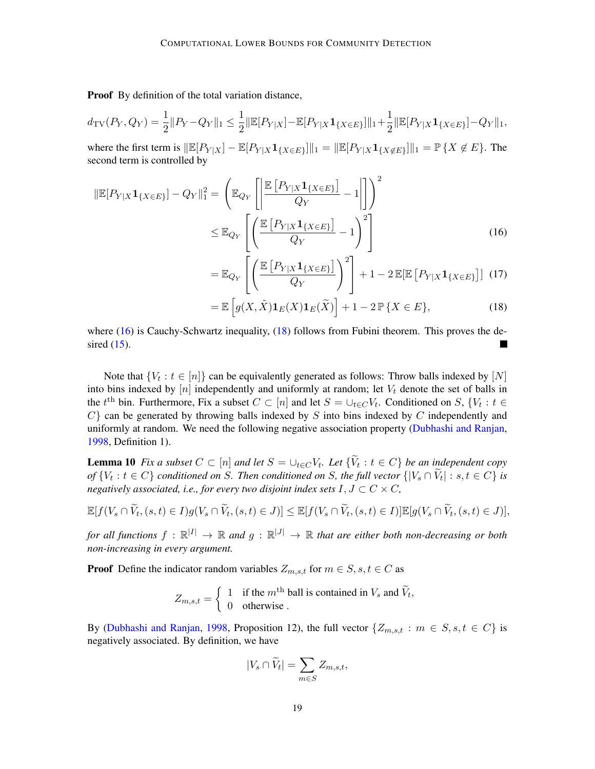Proof By definition of the total variation distance,

$$
d_{\mathrm{TV}}(P_Y,Q_Y) = \frac{1}{2} ||P_Y - Q_Y||_1 \le \frac{1}{2} ||\mathbb{E}[P_{Y|X}] - \mathbb{E}[P_{Y|X} \mathbf{1}_{\{X \in E\}}]||_1 + \frac{1}{2} ||\mathbb{E}[P_{Y|X} \mathbf{1}_{\{X \in E\}}] - Q_Y||_1,
$$

where the first term is  $\|\mathbb{E}[P_{Y|X}] - \mathbb{E}[P_{Y|X} \mathbf{1}_{\{X \in E\}}]\|_1 = \|\mathbb{E}[P_{Y|X} \mathbf{1}_{\{X \notin E\}}]\|_1 = \mathbb{P}\{X \notin E\}.$  The second term is controlled by

$$
\|\mathbb{E}[P_{Y|X}\mathbf{1}_{\{X\in E\}}] - Q_Y\|_1^2 = \left(\mathbb{E}_{Q_Y}\left[\left|\frac{\mathbb{E}\left[P_{Y|X}\mathbf{1}_{\{X\in E\}}\right]}{Q_Y} - 1\right|\right]\right)^2
$$

$$
\leq \mathbb{E}_{Q_Y}\left[\left(\frac{\mathbb{E}\left[P_{Y|X}\mathbf{1}_{\{X\in E\}}\right]}{Q_Y} - 1\right)^2\right]
$$
(16)

<span id="page-18-0"></span>
$$
= \mathbb{E}_{Q_Y} \left[ \left( \frac{\mathbb{E} \left[ P_{Y|X} \mathbf{1}_{\{X \in E\}} \right]}{Q_Y} \right)^2 \right] + 1 - 2 \mathbb{E} [\mathbb{E} \left[ P_{Y|X} \mathbf{1}_{\{X \in E\}} \right]] \tag{17}
$$

<span id="page-18-1"></span>
$$
= \mathbb{E}\left[g(X,\tilde{X})\mathbf{1}_E(X)\mathbf{1}_E(\tilde{X})\right] + 1 - 2\mathbb{P}\{X \in E\},\tag{18}
$$

where  $(16)$  is Cauchy-Schwartz inequality,  $(18)$  follows from Fubini theorem. This proves the desired  $(15)$ .

Note that  $\{V_t : t \in [n]\}$  can be equivalently generated as follows: Throw balls indexed by  $[N]$ into bins indexed by  $[n]$  independently and uniformly at random; let  $V_t$  denote the set of balls in the  $t^{\text{th}}$  bin. Furthermore, Fix a subset  $C \subset [n]$  and let  $S = \cup_{t \in C} V_t$ . Conditioned on  $S$ ,  $\{V_t : t \in$  $C$ } can be generated by throwing balls indexed by  $S$  into bins indexed by  $C$  independently and uniformly at random. We need the following negative association property [\(Dubhashi and Ranjan,](#page-13-16) [1998,](#page-13-16) Definition 1).

<span id="page-18-2"></span>**Lemma 10** *Fix a subset*  $C \subset [n]$  *and let*  $S = \cup_{t \in C} V_t$ *. Let*  $\{V_t : t \in C\}$  *be an independent copy of*  $\{V_t : t \in C\}$  *conditioned on* S. Then conditioned on S, the full vector  $\{|V_s \cap V_t| : s, t \in C\}$  *is negatively associated, i.e., for every two disjoint index sets*  $I, J \subset C \times C$ *,* 

$$
\mathbb{E}[f(V_s \cap \widetilde{V}_t, (s,t) \in I)g(V_s \cap \widetilde{V}_t, (s,t) \in J)] \leq \mathbb{E}[f(V_s \cap \widetilde{V}_t, (s,t) \in I)]\mathbb{E}[g(V_s \cap \widetilde{V}_t, (s,t) \in J)],
$$

for all functions  $f : \mathbb{R}^{|I|} \to \mathbb{R}$  and  $g : \mathbb{R}^{|J|} \to \mathbb{R}$  that are either both non-decreasing or both *non-increasing in every argument.*

**Proof** Define the indicator random variables  $Z_{m,s,t}$  for  $m \in S, s, t \in C$  as

$$
Z_{m,s,t} = \begin{cases} 1 & \text{if the } m^{\text{th}} \text{ ball is contained in } V_s \text{ and } \widetilde{V}_t, \\ 0 & \text{otherwise.} \end{cases}
$$

By [\(Dubhashi and Ranjan,](#page-13-16) [1998,](#page-13-16) Proposition 12), the full vector  $\{Z_{m,s,t} : m \in S, s, t \in C\}$  is negatively associated. By definition, we have

$$
|V_s \cap \widetilde{V}_t| = \sum_{m \in S} Z_{m,s,t},
$$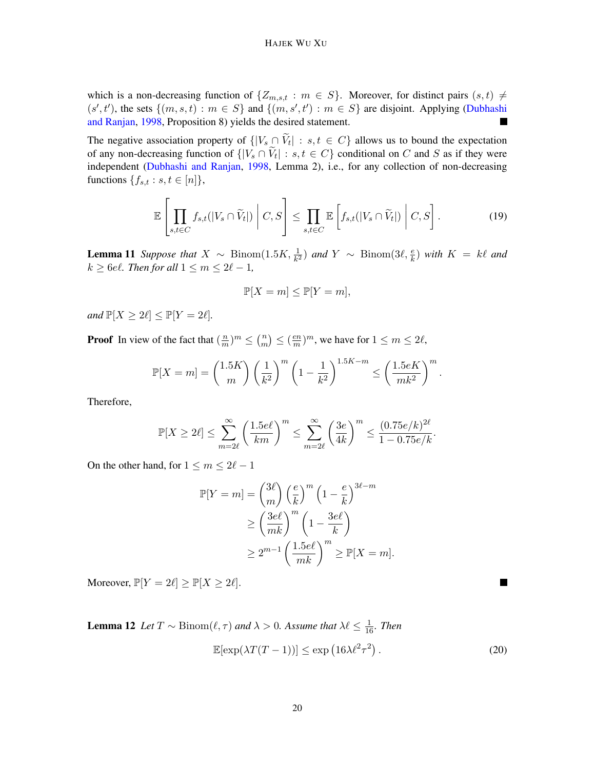which is a non-decreasing function of  $\{Z_{m,s,t} : m \in S\}$ . Moreover, for distinct pairs  $(s,t) \neq$  $(s', t')$ , the sets  $\{(m, s, t) : m \in S\}$  and  $\{(m, s', t') : m \in S\}$  are disjoint. Applying [\(Dubhashi](#page-13-16) [and Ranjan,](#page-13-16) [1998,](#page-13-16) Proposition 8) yields the desired statement.  $\blacksquare$ 

The negative association property of  $\{ |V_s \cap V_t| : s, t \in C \}$  allows us to bound the expectation of any non-decreasing function of  $\{ |V_s \cap V_t| : s, t \in C \}$  conditional on C and S as if they were independent [\(Dubhashi and Ranjan,](#page-13-16) [1998,](#page-13-16) Lemma 2), i.e., for any collection of non-decreasing functions  $\{f_{s,t} : s,t \in [n]\},\$ 

$$
\mathbb{E}\left[\prod_{s,t\in C}f_{s,t}(|V_s\cap \widetilde{V}_t|)\middle|C,S\right]\leq \prod_{s,t\in C}\mathbb{E}\left[f_{s,t}(|V_s\cap \widetilde{V}_t|)\middle|C,S\right].
$$
\n(19)

<span id="page-19-2"></span>**Lemma 11** Suppose that  $X \sim \text{Binom}(1.5K, \frac{1}{k^2})$  and  $Y \sim \text{Binom}(3\ell, \frac{e}{k})$  with  $K = k\ell$  and  $k \geq 6$ el. Then for all  $1 \leq m \leq 2\ell - 1$ ,

<span id="page-19-1"></span>
$$
\mathbb{P}[X=m] \le \mathbb{P}[Y=m],
$$

*and*  $\mathbb{P}[X \geq 2\ell] \leq \mathbb{P}[Y = 2\ell]$ *.* 

**Proof** In view of the fact that  $\left(\frac{n}{m}\right)$  $\frac{n}{m}$ <sup>m</sup>  $\leq$   $\binom{n}{m}$  $\binom{n}{m} \leq \left(\frac{en}{m}\right)$  $\frac{en}{m}$ , we have for  $1 \le m \le 2\ell$ ,

$$
\mathbb{P}[X=m] = {\binom{1.5K}{m}} \left(\frac{1}{k^2}\right)^m \left(1 - \frac{1}{k^2}\right)^{1.5K-m} \leq \left(\frac{1.5eK}{mk^2}\right)^m.
$$

Therefore,

$$
\mathbb{P}[X \geq 2\ell] \leq \sum_{m=2\ell}^{\infty} \left(\frac{1.5e\ell}{km}\right)^m \leq \sum_{m=2\ell}^{\infty} \left(\frac{3e}{4k}\right)^m \leq \frac{(0.75e/k)^{2\ell}}{1-0.75e/k}.
$$

On the other hand, for  $1 \le m \le 2\ell - 1$ 

$$
\mathbb{P}[Y=m] = \binom{3\ell}{m} \left(\frac{e}{k}\right)^m \left(1 - \frac{e}{k}\right)^{3\ell - m}
$$

$$
\geq \left(\frac{3e\ell}{mk}\right)^m \left(1 - \frac{3e\ell}{k}\right)
$$

$$
\geq 2^{m-1} \left(\frac{1.5e\ell}{mk}\right)^m \geq \mathbb{P}[X=m].
$$

Moreover,  $\mathbb{P}[Y = 2\ell] \ge \mathbb{P}[X \ge 2\ell].$ 

**Lemma 12** Let  $T \sim \text{Binom}(\ell, \tau)$  and  $\lambda > 0$ . Assume that  $\lambda \ell \leq \frac{1}{16}$ . Then

<span id="page-19-0"></span>
$$
\mathbb{E}[\exp(\lambda T(T-1))] \le \exp(16\lambda \ell^2 \tau^2). \tag{20}
$$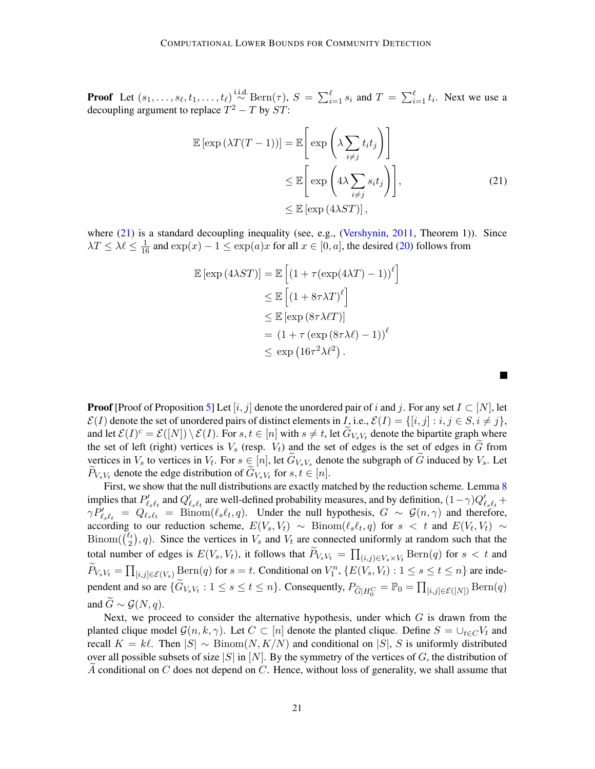**Proof** Let  $(s_1, \ldots, s_\ell, t_1, \ldots, t_\ell) \stackrel{\text{i.i.d.}}{\sim} \text{Bern}(\tau)$ ,  $S = \sum_{i=1}^\ell s_i$  and  $T = \sum_{i=1}^\ell t_i$ . Next we use a decoupling argument to replace  $T^2 - T$  by  $ST$ :

<span id="page-20-0"></span>
$$
\mathbb{E} \left[ \exp \left( \lambda T(T-1) \right) \right] = \mathbb{E} \left[ \exp \left( \lambda \sum_{i \neq j} t_i t_j \right) \right]
$$
  
\n
$$
\leq \mathbb{E} \left[ \exp \left( 4\lambda \sum_{i \neq j} s_i t_j \right) \right],
$$
  
\n
$$
\leq \mathbb{E} \left[ \exp \left( 4\lambda ST \right) \right],
$$
\n(21)

where [\(21\)](#page-20-0) is a standard decoupling inequality (see, e.g., [\(Vershynin,](#page-14-8) [2011,](#page-14-8) Theorem 1)). Since  $\lambda T \le \lambda \ell \le \frac{1}{16}$  and  $\exp(x) - 1 \le \exp(a)x$  for all  $x \in [0, a]$ , the desired [\(20\)](#page-19-0) follows from

$$
\mathbb{E} [\exp(4\lambda ST)] = \mathbb{E} \left[ (1 + \tau (\exp(4\lambda T) - 1))^{\ell} \right]
$$
  
\n
$$
\leq \mathbb{E} \left[ (1 + 8\tau \lambda T)^{\ell} \right]
$$
  
\n
$$
\leq \mathbb{E} [\exp(8\tau \lambda \ell T)]
$$
  
\n
$$
= (1 + \tau (\exp(8\tau \lambda \ell) - 1))^{\ell}
$$
  
\n
$$
\leq \exp(16\tau^2 \lambda \ell^2).
$$

**Proof** [Proof of Proposition [5\]](#page-8-0) Let  $[i, j]$  denote the unordered pair of i and j. For any set  $I \subset [N]$ , let  $\mathcal{E}(I)$  denote the set of unordered pairs of distinct elements in *I*, i.e.,  $\mathcal{E}(I) = \{ [i, j] : i, j \in S, i \neq j \}$ , and let  $\mathcal{E}(I)^c = \mathcal{E}([N]) \setminus \mathcal{E}(I)$ . For  $s, t \in [n]$  with  $s \neq t$ , let  $\widetilde{G}_{V_sV_t}$  denote the bipartite graph where the set of left (right) vertices is  $V_s$  (resp.  $V_t$ ) and the set of edges is the set of edges in G from vertices in  $V_s$  to vertices in  $V_t$ . For  $s \in [n]$ , let  $G_{V_sV_s}$  denote the subgraph of G induced by  $V_s$ . Let  $P_{V_s V_t}$  denote the edge distribution of  $G_{V_s V_t}$  for  $s, t \in [n]$ .

First, we show that the null distributions are exactly matched by the reduction scheme. Lemma [8](#page-16-1) implies that  $P'_{\ell_s\ell_t}$  and  $Q'_{\ell_s\ell_t}$  are well-defined probability measures, and by definition,  $(1-\gamma)Q'_{\ell_s\ell_t}$  +  $\gamma P_{\ell_s \ell_t} = Q_{\ell_s \ell_t} = \text{Binom}(\ell_s \ell_t, q)$ . Under the null hypothesis,  $G \sim \mathcal{G}(n, \gamma)$  and therefore, according to our reduction scheme,  $E(V_s, V_t) \sim \text{Binom}(\ell_s\ell_t, q)$  for  $s < t$  and  $E(V_t, V_t) \sim$  $\operatorname{Binom}(\begin{matrix} \ell_t \\ 2 \end{matrix})$  $\binom{\ell_t}{2}$ , q). Since the vertices in  $V_s$  and  $V_t$  are connected uniformly at random such that the total number of edges is  $E(V_s, V_t)$ , it follows that  $P_{V_s V_t} = \prod_{(i,j) \in V_s \times V_t} \text{Bern}(q)$  for  $s < t$  and  $\widetilde{P}_{V_s V_t} = \prod_{[i,j] \in \mathcal{E}(V_s)} \text{Bern}(q)$  for  $s = t$ . Conditional on  $V_1^n$ ,  $\{E(V_s, V_t) : 1 \le s \le t \le n\}$  are independent and so are  $\{\widetilde{G}_{V_s V_t} : 1 \le s \le t \le n\}$ . Consequently,  $P_{\widetilde{G}|H_0^C} = \mathbb{P}_0 = \prod_{[i,j] \in \mathcal{E}([N])} \text{Bern}(q)$ and  $\widetilde{G} \sim \mathcal{G}(N, q)$ .

Next, we proceed to consider the alternative hypothesis, under which  $G$  is drawn from the planted clique model  $\mathcal{G}(n, k, \gamma)$ . Let  $C \subset [n]$  denote the planted clique. Define  $S = \bigcup_{t \in C} V_t$  and recall  $K = k\ell$ . Then  $|S| \sim \text{Binom}(N, K/N)$  and conditional on  $|S|$ , S is uniformly distributed over all possible subsets of size |S| in [N]. By the symmetry of the vertices of G, the distribution of A conditional on  $C$  does not depend on  $C$ . Hence, without loss of generality, we shall assume that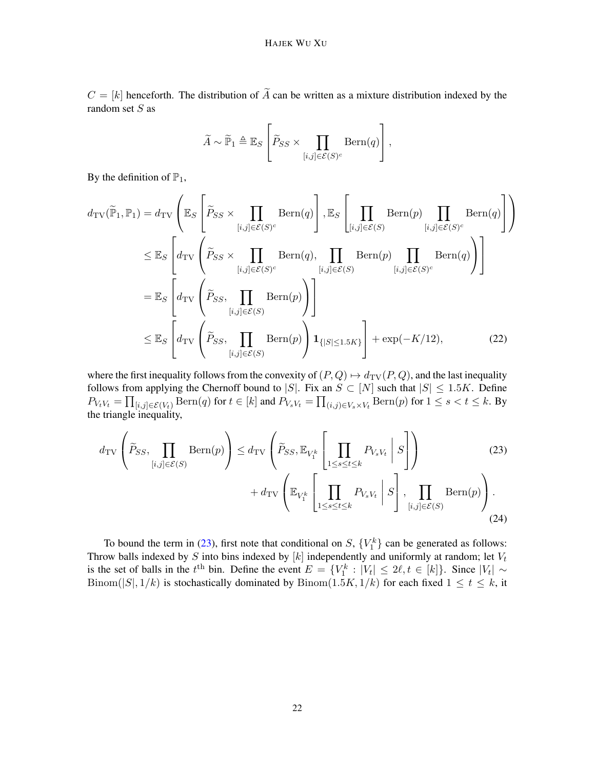$C = [k]$  henceforth. The distribution of  $\widetilde{A}$  can be written as a mixture distribution indexed by the random set S as

<span id="page-21-2"></span>
$$
\widetilde{A} \sim \widetilde{\mathbb{P}}_1 \triangleq \mathbb{E}_S \left[ \widetilde{P}_{SS} \times \prod_{[i,j] \in \mathcal{E}(S)^c} \text{Bern}(q) \right],
$$

By the definition of  $\mathbb{P}_1$ ,

$$
d_{\text{TV}}(\widetilde{\mathbb{P}}_1, \mathbb{P}_1) = d_{\text{TV}}\left(\mathbb{E}_S \left[ \widetilde{P}_{SS} \times \prod_{[i,j] \in \mathcal{E}(S)^c} \text{Bern}(q) \right], \mathbb{E}_S \left[ \prod_{[i,j] \in \mathcal{E}(S)} \text{Bern}(p) \prod_{[i,j] \in \mathcal{E}(S)^c} \text{Bern}(q) \right] \right)
$$
  
\n
$$
\leq \mathbb{E}_S \left[ d_{\text{TV}} \left( \widetilde{P}_{SS} \times \prod_{[i,j] \in \mathcal{E}(S)^c} \text{Bern}(q), \prod_{[i,j] \in \mathcal{E}(S)} \text{Bern}(p) \prod_{[i,j] \in \mathcal{E}(S)^c} \text{Bern}(q) \right) \right]
$$
  
\n
$$
= \mathbb{E}_S \left[ d_{\text{TV}} \left( \widetilde{P}_{SS}, \prod_{[i,j] \in \mathcal{E}(S)} \text{Bern}(p) \right) \right]
$$
  
\n
$$
\leq \mathbb{E}_S \left[ d_{\text{TV}} \left( \widetilde{P}_{SS}, \prod_{[i,j] \in \mathcal{E}(S)} \text{Bern}(p) \right) \mathbf{1}_{\{|S| \leq 1.5K\}} \right] + \exp(-K/12), \tag{22}
$$

where the first inequality follows from the convexity of  $(P, Q) \mapsto d_{\text{TV}}(P, Q)$ , and the last inequality follows from applying the Chernoff bound to |S|. Fix an  $S \subset [N]$  such that  $|S| \leq 1.5K$ . Define  $P_{V_tV_t} = \prod_{[i,j]\in \mathcal{E}(V_t)} \text{Bern}(q)$  for  $t\in [k]$  and  $P_{V_sV_t} = \prod_{(i,j)\in V_s\times V_t} \text{Bern}(p)$  for  $1\leq s < t \leq k$ . By the triangle inequality,

<span id="page-21-1"></span><span id="page-21-0"></span>
$$
d_{\text{TV}}\left(\widetilde{P}_{SS}, \prod_{[i,j]\in\mathcal{E}(S)} \text{Bern}(p)\right) \le d_{\text{TV}}\left(\widetilde{P}_{SS}, \mathbb{E}_{V_1^k} \left[\prod_{1 \le s \le t \le k} P_{V_s V_t} \middle| S\right]\right) \tag{23}
$$
\n
$$
+ d_{\text{TV}}\left(\mathbb{E}_{V_1^k} \left[\prod_{1 \le s \le t \le k} P_{V_s V_t} \middle| S\right], \prod_{[i,j]\in\mathcal{E}(S)} \text{Bern}(p)\right). \tag{24}
$$

To bound the term in [\(23\)](#page-21-0), first note that conditional on  $S$ ,  $\{V_1^k\}$  can be generated as follows: Throw balls indexed by S into bins indexed by [k] independently and uniformly at random; let  $V_t$ is the set of balls in the  $t<sup>th</sup>$  bin. Define the event  $E = \{V_1^k : |V_t| \leq 2\ell, t \in [k]\}\$ . Since  $|V_t| \sim$ Binom(|S|, 1/k) is stochastically dominated by Binom(1.5K, 1/k) for each fixed  $1 \le t \le k$ , it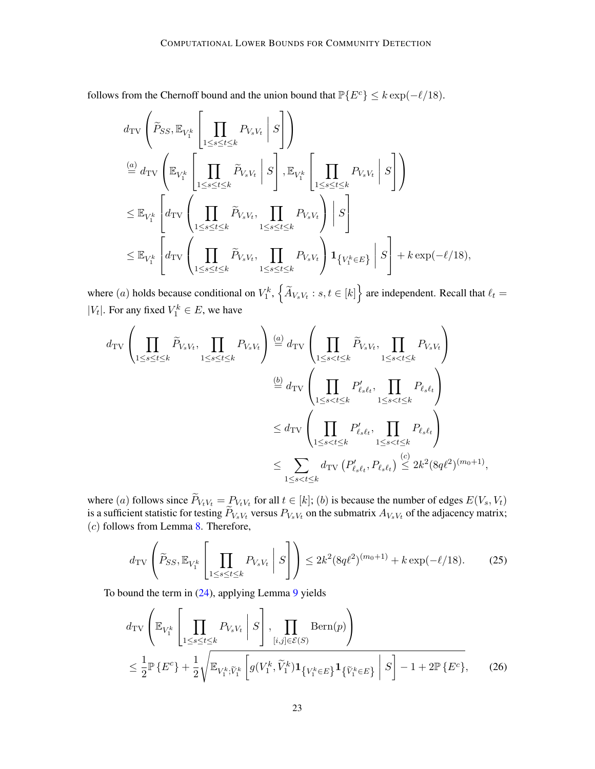follows from the Chernoff bound and the union bound that  $\mathbb{P}\{E^c\} \leq k \exp(-\ell/18)$ .

$$
\begin{split} &d_{\text{TV}}\left(\tilde{P}_{SS}, \mathbb{E}_{V_1^k}\left[\prod_{1 \leq s \leq t \leq k} P_{V_s V_t} \middle| S\right]\right) \\ & \stackrel{(a)}{=} d_{\text{TV}}\left(\mathbb{E}_{V_1^k}\left[\prod_{1 \leq s \leq t \leq k} \tilde{P}_{V_s V_t} \middle| S\right], \mathbb{E}_{V_1^k}\left[\prod_{1 \leq s \leq t \leq k} P_{V_s V_t} \middle| S\right]\right) \\ & \leq \mathbb{E}_{V_1^k}\left[d_{\text{TV}}\left(\prod_{1 \leq s \leq t \leq k} \tilde{P}_{V_s V_t}, \prod_{1 \leq s \leq t \leq k} P_{V_s V_t}\right) \middle| S\right] \\ & \leq \mathbb{E}_{V_1^k}\left[d_{\text{TV}}\left(\prod_{1 \leq s \leq t \leq k} \tilde{P}_{V_s V_t}, \prod_{1 \leq s \leq t \leq k} P_{V_s V_t}\right) \mathbf{1}_{\{V_1^k \in E\}}\right| S\right] + k \exp(-\ell/18), \end{split}
$$

where (*a*) holds because conditional on  $V_1^k$ ,  $\left\{\widetilde{A}_{V_s V_t} : s, t \in [k]\right\}$  are independent. Recall that  $\ell_t =$ | $V_t$ |. For any fixed  $V_1^k \in E$ , we have

$$
d_{\text{TV}}\left(\prod_{1 \leq s \leq t \leq k} \widetilde{P}_{V_s V_t}, \prod_{1 \leq s \leq t \leq k} P_{V_s V_t}\right) \stackrel{(a)}{=} d_{\text{TV}}\left(\prod_{1 \leq s < t \leq k} \widetilde{P}_{V_s V_t}, \prod_{1 \leq s < t \leq k} P_{V_s V_t}\right)
$$
\n
$$
\stackrel{(b)}{=} d_{\text{TV}}\left(\prod_{1 \leq s < t \leq k} P'_{\ell_s \ell_t}, \prod_{1 \leq s < t \leq k} P_{\ell_s \ell_t}\right)
$$
\n
$$
\leq d_{\text{TV}}\left(\prod_{1 \leq s < t \leq k} P'_{\ell_s \ell_t}, \prod_{1 \leq s < t \leq k} P_{\ell_s \ell_t}\right)
$$
\n
$$
\leq \sum_{1 \leq s < t \leq k} d_{\text{TV}}\left(P'_{\ell_s \ell_t}, P_{\ell_s \ell_t}\right) \stackrel{(c)}{\leq} 2k^2 (8q\ell^2)^{(m_0+1)},
$$

where (a) follows since  $P_{V_t V_t} = P_{V_t V_t}$  for all  $t \in [k]$ ; (b) is because the number of edges  $E(V_s, V_t)$ is a sufficient statistic for testing  $P_{V_sV_t}$  versus  $P_{V_sV_t}$  on the submatrix  $A_{V_sV_t}$  of the adjacency matrix;  $(c)$  follows from Lemma [8.](#page-16-1) Therefore,

<span id="page-22-1"></span>
$$
d_{\rm TV}\left(\widetilde{P}_{SS}, \mathbb{E}_{V_1^k} \left[ \prod_{1 \le s \le t \le k} P_{V_s V_t} \middle| S \right] \right) \le 2k^2 (8q\ell^2)^{(m_0+1)} + k \exp(-\ell/18). \tag{25}
$$

To bound the term in [\(24\)](#page-21-1), applying Lemma [9](#page-17-2) yields

<span id="page-22-0"></span>
$$
d_{\text{TV}}\left(\mathbb{E}_{V_1^k} \left[\prod_{1 \leq s \leq t \leq k} P_{V_s V_t} \middle| S\right], \prod_{[i,j] \in \mathcal{E}(S)} \text{Bern}(p)\right) \leq \frac{1}{2} \mathbb{P}\left\{E^c\right\} + \frac{1}{2} \sqrt{\mathbb{E}_{V_1^k; \widetilde{V}_1^k} \left[g(V_1^k, \widetilde{V}_1^k) \mathbf{1}_{\{V_1^k \in E\}} \mathbf{1}_{\{\widetilde{V}_1^k \in E\}} \middle| S\right] - 1 + 2 \mathbb{P}\left\{E^c\right\}},\tag{26}
$$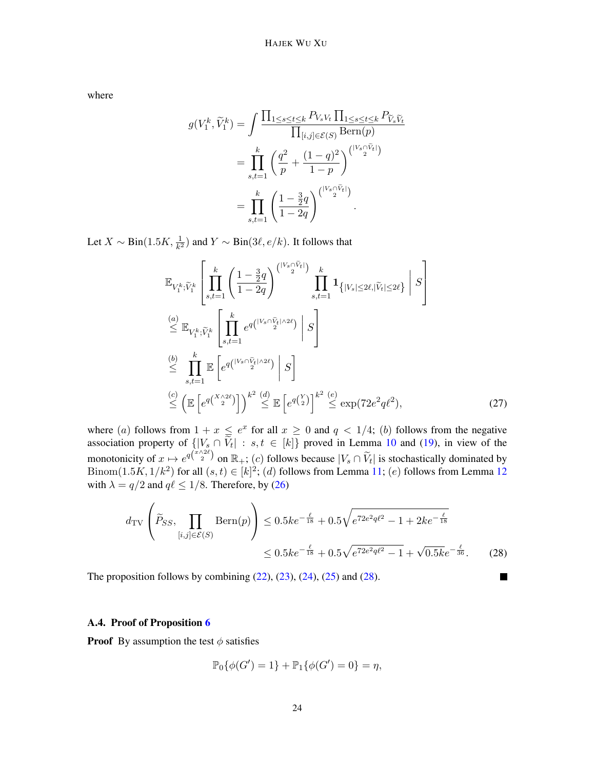where

$$
g(V_1^k, \widetilde{V}_1^k) = \int \frac{\prod_{1 \le s \le t \le k} P_{V_s V_t} \prod_{1 \le s \le t \le k} P_{\widetilde{V}_s \widetilde{V}_t}}{\prod_{[i,j] \in \mathcal{E}(S)} \text{Bern}(p)}
$$
  
= 
$$
\prod_{s,t=1}^k \left( \frac{q^2}{p} + \frac{(1-q)^2}{1-p} \right)^{\binom{|V_s \cap \widetilde{V}_t|}{2}}
$$
  
= 
$$
\prod_{s,t=1}^k \left( \frac{1 - \frac{3}{2}q}{1 - 2q} \right)^{\binom{|V_s \cap \widetilde{V}_t|}{2}}.
$$

Let  $X \sim Bin(1.5K, \frac{1}{k^2})$  and  $Y \sim Bin(3\ell, e/k)$ . It follows that

$$
\mathbb{E}_{V_1^k, \widetilde{V}_1^k} \left[ \prod_{s,t=1}^k \left( \frac{1 - \frac{3}{2}q}{1 - 2q} \right)^{\binom{|V_s \cap \widetilde{V}_t|}{2}} \prod_{s,t=1}^k \mathbf{1}_{\{|V_s| \le 2\ell, |\widetilde{V}_t| \le 2\ell\}} \middle| S \right]
$$
\n
$$
\stackrel{(a)}{\le} \mathbb{E}_{V_1^k, \widetilde{V}_1^k} \left[ \prod_{s,t=1}^k e^{q\binom{|V_s \cap \widetilde{V}_t| \wedge 2\ell}{2}} \middle| S \right]
$$
\n
$$
\stackrel{(b)}{\le} \prod_{s,t=1}^k \mathbb{E} \left[ e^{q\binom{|V_s \cap \widetilde{V}_t| \wedge 2\ell}{2}} \middle| S \right]
$$
\n
$$
\stackrel{(c)}{\le} \left( \mathbb{E} \left[ e^{q\binom{|V_s \cap \widetilde{V}_t| \wedge 2\ell}{2}} \middle| S \right] \stackrel{k^2}{\le} \mathbb{E} \left[ e^{q\binom{Y}{2}} \right]^{k^2} \stackrel{(e)}{\le} \exp(72e^2q\ell^2), \tag{27}
$$

where (a) follows from  $1 + x \le e^x$  for all  $x \ge 0$  and  $q < 1/4$ ; (b) follows from the negative association property of  $\{ |V_s \cap V_t| : s, t \in [k] \}$  proved in Lemma [10](#page-18-2) and [\(19\)](#page-19-1), in view of the monotonicity of  $x \mapsto e^{q(\frac{x}{2})}$  on  $\mathbb{R}_+$ ; (c) follows because  $|V_s \cap \tilde{V}_t|$  is stochastically dominated by Binom $(1.5K, 1/k^2)$  for all  $(s, t) \in [k]^2$ ; (d) follows from Lemma [11;](#page-19-2) (e) follows from Lemma [12](#page-19-0) with  $\lambda = q/2$  and  $q\ell \le 1/8$ . Therefore, by [\(26\)](#page-22-0)

$$
d_{\text{TV}}\left(\widetilde{P}_{SS}, \prod_{[i,j] \in \mathcal{E}(S)} \text{Bern}(p)\right) \le 0.5ke^{-\frac{\ell}{18}} + 0.5\sqrt{e^{72e^2q\ell^2} - 1 + 2ke^{-\frac{\ell}{18}}}
$$
  

$$
\le 0.5ke^{-\frac{\ell}{18}} + 0.5\sqrt{e^{72e^2q\ell^2} - 1} + \sqrt{0.5ke^{-\frac{\ell}{36}}}.
$$
 (28)

<span id="page-23-1"></span>**T** 

The proposition follows by combining  $(22)$ ,  $(23)$ ,  $(24)$ ,  $(25)$  and  $(28)$ .

#### <span id="page-23-0"></span>A.4. Proof of Proposition [6](#page-9-1)

**Proof** By assumption the test  $\phi$  satisfies

$$
\mathbb{P}_0\{\phi(G')=1\} + \mathbb{P}_1\{\phi(G')=0\} = \eta,
$$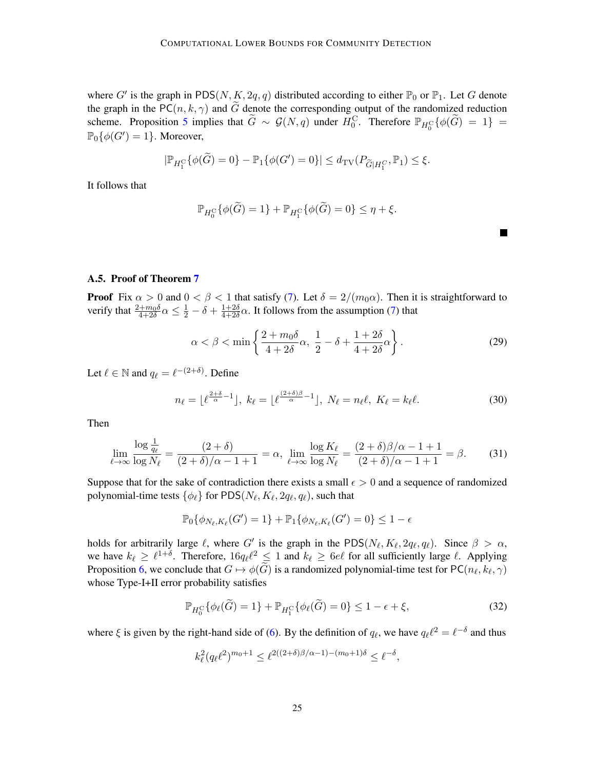where G' is the graph in PDS(N, K, 2q, q) distributed according to either  $\mathbb{P}_0$  or  $\mathbb{P}_1$ . Let G denote the graph in the PC( $n, k, \gamma$ ) and G denote the corresponding output of the randomized reduction scheme. Proposition [5](#page-8-0) implies that  $\widetilde{G} \sim \mathcal{G}(N,q)$  under  $H_0^C$ . Therefore  $\mathbb{P}_{H_0^C}\{\phi(\widetilde{G}) = 1\}$  $\mathbb{P}_0\{\phi(G')=1\}$ . Moreover,

$$
|\mathbb{P}_{H_1^C}\{\phi(\widetilde{G})=0\}-\mathbb{P}_1\{\phi(G')=0\}|\leq d_{\mathrm{TV}}(P_{\widetilde{G}|H_1^C},\mathbb{P}_1)\leq \xi.
$$

It follows that

$$
\mathbb{P}_{H_0^{\mathcal{C}}} \{ \phi(\widetilde{G}) = 1 \} + \mathbb{P}_{H_1^{\mathcal{C}}} \{ \phi(\widetilde{G}) = 0 \} \le \eta + \xi.
$$

# A.5. Proof of Theorem [7](#page-9-0)

**Proof** Fix  $\alpha > 0$  and  $0 < \beta < 1$  that satisfy [\(7\)](#page-9-2). Let  $\delta = 2/(m_0 \alpha)$ . Then it is straightforward to verify that  $\frac{2+m_0\delta}{4+2\delta}\alpha \leq \frac{1}{2} - \delta + \frac{1+2\delta}{4+2\delta}$  $\frac{1+2\delta}{4+2\delta}\alpha$ . It follows from the assumption [\(7\)](#page-9-2) that

<span id="page-24-1"></span><span id="page-24-0"></span>
$$
\alpha < \beta < \min\left\{\frac{2+m_0\delta}{4+2\delta}\alpha, \ \frac{1}{2}-\delta + \frac{1+2\delta}{4+2\delta}\alpha\right\}.\tag{29}
$$

Let  $\ell \in \mathbb{N}$  and  $q_{\ell} = \ell^{-(2+\delta)}$ . Define

$$
n_{\ell} = \lfloor \ell^{\frac{2+\delta}{\alpha}-1} \rfloor, \ k_{\ell} = \lfloor \ell^{\frac{(2+\delta)\beta}{\alpha}-1} \rfloor, \ N_{\ell} = n_{\ell} \ell, \ K_{\ell} = k_{\ell} \ell. \tag{30}
$$

Then

$$
\lim_{\ell \to \infty} \frac{\log \frac{1}{q_\ell}}{\log N_\ell} = \frac{(2+\delta)}{(2+\delta)/\alpha - 1 + 1} = \alpha, \lim_{\ell \to \infty} \frac{\log K_\ell}{\log N_\ell} = \frac{(2+\delta)\beta/\alpha - 1 + 1}{(2+\delta)/\alpha - 1 + 1} = \beta.
$$
 (31)

Suppose that for the sake of contradiction there exists a small  $\epsilon > 0$  and a sequence of randomized polynomial-time tests  $\{\phi_\ell\}$  for PDS $(N_\ell, K_\ell, 2q_\ell, q_\ell)$ , such that

$$
\mathbb{P}_{0}\{\phi_{N_{\ell},K_{\ell}}(G')=1\}+\mathbb{P}_{1}\{\phi_{N_{\ell},K_{\ell}}(G')=0\}\leq 1-\epsilon
$$

holds for arbitrarily large  $\ell$ , where G' is the graph in the PDS( $N_{\ell}, K_{\ell}, 2q_{\ell}, q_{\ell}$ ). Since  $\beta > \alpha$ , we have  $k_\ell \geq \ell^{1+\delta}$ . Therefore,  $16q_\ell\ell^2 \leq 1$  and  $k_\ell \geq 6e\ell$  for all sufficiently large  $\ell$ . Applying Proposition [6,](#page-9-1) we conclude that  $G \mapsto \phi(G)$  is a randomized polynomial-time test for PC( $n_\ell, k_\ell, \gamma$ ) whose Type-I+II error probability satisfies

$$
\mathbb{P}_{H_0^C}\{\phi_\ell(\widetilde{G})=1\} + \mathbb{P}_{H_1^C}\{\phi_\ell(\widetilde{G})=0\} \le 1-\epsilon+\xi,\tag{32}
$$

where  $\xi$  is given by the right-hand side of [\(6\)](#page-8-1). By the definition of  $q_\ell$ , we have  $q_\ell \ell^2 = \ell^{-\delta}$  and thus

<span id="page-24-2"></span>
$$
k_{\ell}^2(q_{\ell}\ell^2)^{m_0+1}\leq \ell^{2((2+\delta)\beta/\alpha-1)-(m_0+1)\delta}\leq \ell^{-\delta},
$$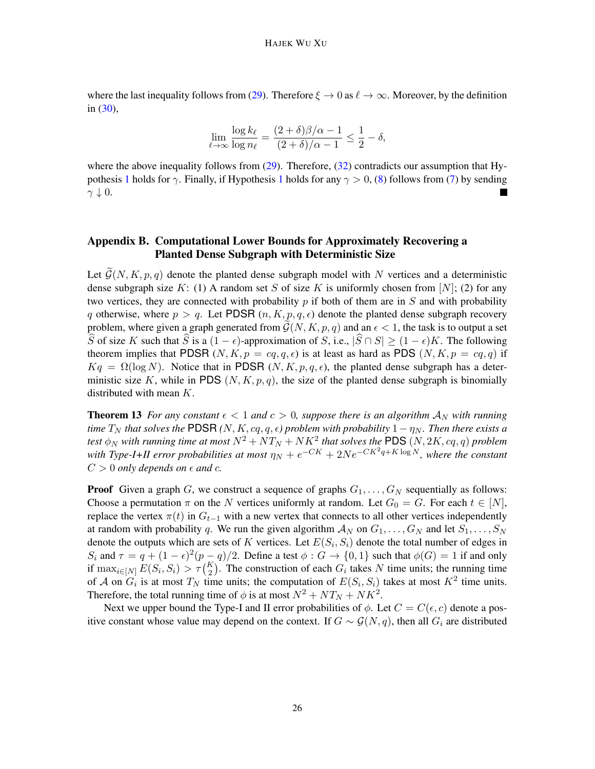where the last inequality follows from [\(29\)](#page-24-0). Therefore  $\xi \to 0$  as  $\ell \to \infty$ . Moreover, by the definition in [\(30\)](#page-24-1),

$$
\lim_{\ell \to \infty} \frac{\log k_{\ell}}{\log n_{\ell}} = \frac{(2+\delta)\beta/\alpha - 1}{(2+\delta)/\alpha - 1} \le \frac{1}{2} - \delta,
$$

where the above inequality follows from  $(29)$ . Therefore,  $(32)$  contradicts our assumption that Hy-pothesis [1](#page-1-2) holds for  $\gamma$ . Finally, if Hypothesis 1 holds for any  $\gamma > 0$ , [\(8\)](#page-9-0) follows from [\(7\)](#page-9-2) by sending  $\gamma \downarrow 0.$ 

# <span id="page-25-0"></span>Appendix B. Computational Lower Bounds for Approximately Recovering a Planted Dense Subgraph with Deterministic Size

Let  $\widetilde{\mathcal{G}}(N, K, p, q)$  denote the planted dense subgraph model with N vertices and a deterministic dense subgraph size K: (1) A random set S of size K is uniformly chosen from [N]; (2) for any two vertices, they are connected with probability  $p$  if both of them are in  $S$  and with probability q otherwise, where  $p > q$ . Let PDSR  $(n, K, p, q, \epsilon)$  denote the planted dense subgraph recovery problem, where given a graph generated from  $\tilde{\mathcal{G}}(N, K, p, q)$  and an  $\epsilon < 1$ , the task is to output a set S of size K such that S is a  $(1 - \epsilon)$ -approximation of S, i.e.,  $|\widehat{S} \cap S| \geq (1 - \epsilon)K$ . The following theorem implies that PDSR  $(N, K, p = cq, q, \epsilon)$  is at least as hard as PDS  $(N, K, p = cq, q)$  if  $Kq = \Omega(\log N)$ . Notice that in PDSR  $(N, K, p, q, \epsilon)$ , the planted dense subgraph has a deterministic size K, while in PDS  $(N, K, p, q)$ , the size of the planted dense subgraph is binomially distributed with mean K.

**Theorem 13** *For any constant*  $\epsilon < 1$  *and*  $c > 0$ *, suppose there is an algorithm*  $A_N$  *with running time*  $T_N$  *that solves the* PDSR  $(N, K, cq, q, ε)$  *problem with probability*  $1 - \eta_N$ *. Then there exists a* test  $\phi_N$  with running time at most  $N^2+{NT_N}+{NK^2}$  that solves the <code>PDS</code>  $(N, 2K, cq, q)$  problem with Type-I+II error probabilities at most  $\eta_N + e^{-CK} + 2Ne^{-CK^2q + K \log N}$ , where the constant  $C > 0$  *only depends on*  $\epsilon$  *and*  $c$ .

**Proof** Given a graph G, we construct a sequence of graphs  $G_1, \ldots, G_N$  sequentially as follows: Choose a permutation  $\pi$  on the N vertices uniformly at random. Let  $G_0 = G$ . For each  $t \in [N]$ , replace the vertex  $\pi(t)$  in  $G_{t-1}$  with a new vertex that connects to all other vertices independently at random with probability q. We run the given algorithm  $\mathcal{A}_N$  on  $G_1, \ldots, G_N$  and let  $S_1, \ldots, S_N$ denote the outputs which are sets of K vertices. Let  $E(S_i, S_i)$  denote the total number of edges in  $S_i$  and  $\tau = q + (1 - \epsilon)^2 (p - q)/2$ . Define a test  $\phi : G \to \{0, 1\}$  such that  $\phi(G) = 1$  if and only if  $\max_{i \in [N]} E(S_i, S_i) > \tau {K \choose 2}$ . The construction of each  $G_i$  takes N time units; the running time of A on  $G_i$  is at most  $T_N$  time units; the computation of  $E(S_i, S_i)$  takes at most  $K^2$  time units. Therefore, the total running time of  $\phi$  is at most  $N^2 + NT_N + NK^2$ .

Next we upper bound the Type-I and II error probabilities of  $\phi$ . Let  $C = C(\epsilon, c)$  denote a positive constant whose value may depend on the context. If  $G \sim \mathcal{G}(N, q)$ , then all  $G_i$  are distributed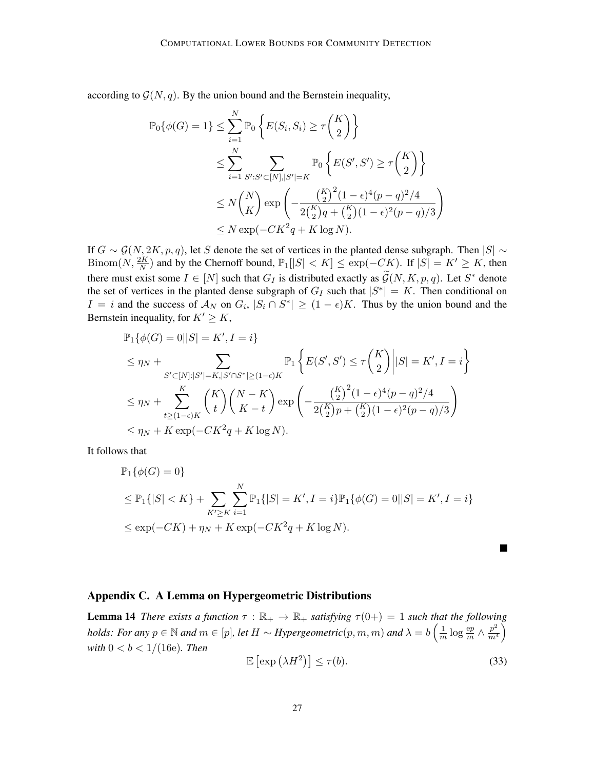according to  $\mathcal{G}(N, q)$ . By the union bound and the Bernstein inequality,

$$
\mathbb{P}_{0}\{\phi(G) = 1\} \leq \sum_{i=1}^{N} \mathbb{P}_{0}\left\{E(S_{i}, S_{i}) \geq \tau\binom{K}{2}\right\}
$$
  
\n
$$
\leq \sum_{i=1}^{N} \sum_{S': S' \subset [N], |S'| = K} \mathbb{P}_{0}\left\{E(S', S') \geq \tau\binom{K}{2}\right\}
$$
  
\n
$$
\leq N\binom{N}{K} \exp\left(-\frac{\binom{K}{2}^{2}(1-\epsilon)^{4}(p-q)^{2}/4}{2\binom{K}{2}q + \binom{K}{2}(1-\epsilon)^{2}(p-q)/3}\right)
$$
  
\n
$$
\leq N \exp(-CK^{2}q + K \log N).
$$

If  $G \sim \mathcal{G}(N, 2K, p, q)$ , let S denote the set of vertices in the planted dense subgraph. Then  $|S| \sim$ Binom $(N, \frac{2K}{N})$  and by the Chernoff bound,  $\mathbb{P}_1[|S| < K] \leq \exp(-CK)$ . If  $|S| = K' \geq K$ , then there must exist some  $I \in [N]$  such that  $G_I$  is distributed exactly as  $\widetilde{\mathcal{G}}(N, K, p, q)$ . Let  $S^*$  denote the set of vertices in the planted dense subgraph of  $G_I$  such that  $|S^*| = K$ . Then conditional on  $I = i$  and the success of  $\mathcal{A}_N$  on  $G_i$ ,  $|S_i \cap S^*| \geq (1 - \epsilon)K$ . Thus by the union bound and the Bernstein inequality, for  $K' \geq K$ ,

$$
\mathbb{P}_{1}\{\phi(G) = 0||S| = K', I = i\}
$$
\n
$$
\leq \eta_{N} + \sum_{S' \subset [N]:|S'|=K,|S' \cap S^{*}| \geq (1-\epsilon)K} \mathbb{P}_{1}\left\{E(S', S') \leq \tau\binom{K}{2} \Big| |S| = K', I = i\right\}
$$
\n
$$
\leq \eta_{N} + \sum_{t \geq (1-\epsilon)K}^{K} \binom{K}{t} \binom{N-K}{K-t} \exp\left(-\frac{\binom{K}{2}^{2}(1-\epsilon)^{4}(p-q)^{2}/4}{2\binom{K}{2}p + \binom{K}{2}(1-\epsilon)^{2}(p-q)/3}\right)
$$
\n
$$
\leq \eta_{N} + K \exp(-CK^{2}q + K \log N).
$$

It follows that

$$
\mathbb{P}_{1}\{\phi(G) = 0\}
$$
  
\n
$$
\leq \mathbb{P}_{1}\{|S| < K\} + \sum_{K' \geq K} \sum_{i=1}^{N} \mathbb{P}_{1}\{|S| = K', I = i\} \mathbb{P}_{1}\{\phi(G) = 0| |S| = K', I = i\}
$$
  
\n
$$
\leq \exp(-CK) + \eta_{N} + K \exp(-CK^{2}q + K \log N).
$$

## <span id="page-26-1"></span>Appendix C. A Lemma on Hypergeometric Distributions

**Lemma 14** *There exists a function*  $\tau : \mathbb{R}_+ \to \mathbb{R}_+$  *satisfying*  $\tau(0+) = 1$  *such that the following holds: For any*  $p \in \mathbb{N}$  *and*  $m \in [p]$ *, let*  $H \sim Hypergeometric(p, m, m)$  *and*  $\lambda = b \left( \frac{1}{m} \right)$  $\frac{1}{m}\log \frac{{\rm e}p}{m} \wedge \frac{p^2}{m^4}$  $\frac{p^2}{m^4}$ *with*  $0 < b < 1/(16e)$ *. Then* 

<span id="page-26-0"></span>
$$
\mathbb{E}\left[\exp\left(\lambda H^2\right)\right] \le \tau(b). \tag{33}
$$

П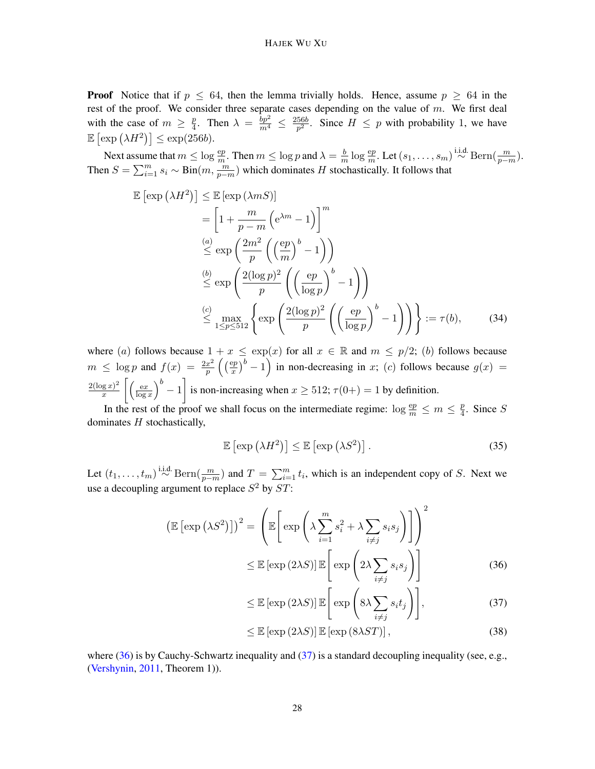**Proof** Notice that if  $p \le 64$ , then the lemma trivially holds. Hence, assume  $p \ge 64$  in the rest of the proof. We consider three separate cases depending on the value of  $m$ . We first deal with the case of  $m \geq \frac{p}{4}$  $\frac{p}{4}$ . Then  $\lambda = \frac{bp^2}{m^4} \leq \frac{256b}{p^2}$  $\frac{56b}{p^2}$ . Since  $H \leq p$  with probability 1, we have  $\mathbb{E} \left[ \exp \left( \lambda H^2 \right) \right] \leq \exp(256b).$ 

Next assume that  $m \leq \log \frac{ep}{m}$ . Then  $m \leq \log p$  and  $\lambda = \frac{b}{m}$  $\frac{b}{m} \log \frac{ep}{m}$ . Let  $(s_1, \ldots, s_m) \stackrel{\text{i.i.d.}}{\sim} \text{Bern}(\frac{m}{p-m})$ . Then  $S = \sum_{i=1}^{m} s_i \sim Bin(m, \frac{m}{p-m})$  which dominates H stochastically. It follows that

$$
\mathbb{E}\left[\exp\left(\lambda H^2\right)\right] \leq \mathbb{E}\left[\exp\left(\lambda mS\right)\right]
$$
\n
$$
= \left[1 + \frac{m}{p-m}\left(e^{\lambda m} - 1\right)\right]^m
$$
\n
$$
\stackrel{(a)}{\leq} \exp\left(\frac{2m^2}{p}\left(\left(\frac{ep}{m}\right)^b - 1\right)\right)
$$
\n
$$
\stackrel{(b)}{\leq} \exp\left(\frac{2(\log p)^2}{p}\left(\left(\frac{ep}{\log p}\right)^b - 1\right)\right)
$$
\n
$$
\stackrel{(c)}{\leq} \max_{1 \leq p \leq 512} \left\{\exp\left(\frac{2(\log p)^2}{p}\left(\left(\frac{ep}{\log p}\right)^b - 1\right)\right)\right\} := \tau(b), \tag{34}
$$

where (a) follows because  $1 + x \leq \exp(x)$  for all  $x \in \mathbb{R}$  and  $m \leq p/2$ ; (b) follows because  $m \leq \log p$  and  $f(x) = \frac{2x^2}{n}$  $rac{x^2}{p}\left(\left(\frac{\mathrm{e}p}{x}\right)$  $\left(\frac{exp}{x}\right)^b - 1$  in non-decreasing in x; (c) follows because  $g(x) =$  $2(\log x)^2$  $(\frac{g x)^2}{x}$   $\left[ \left( \frac{e x}{\log n} \right)$  $\left[\frac{ex}{\log x}\right]^b - 1$  is non-increasing when  $x \ge 512$ ;  $\tau(0+) = 1$  by definition.

In the rest of the proof we shall focus on the intermediate regime:  $\log \frac{ep}{m} \le m \le \frac{p}{4}$  $\frac{p}{4}$ . Since S dominates  $H$  stochastically,

<span id="page-27-3"></span>
$$
\mathbb{E}\left[\exp\left(\lambda H^2\right)\right] \le \mathbb{E}\left[\exp\left(\lambda S^2\right)\right].\tag{35}
$$

Let  $(t_1,\ldots,t_m) \stackrel{\text{i.i.d.}}{\sim} \text{Bern}(\frac{m}{p-m})$  and  $T = \sum_{i=1}^m t_i$ , which is an independent copy of S. Next we use a decoupling argument to replace  $S^2$  by  $ST$ :

$$
\left(\mathbb{E}\left[\exp\left(\lambda S^2\right)\right]\right)^2 = \left(\mathbb{E}\left[\exp\left(\lambda \sum_{i=1}^m s_i^2 + \lambda \sum_{i \neq j} s_i s_j\right)\right]\right)^2
$$

$$
\leq \mathbb{E}\left[\exp\left(2\lambda S\right)\right] \mathbb{E}\left[\exp\left(2\lambda \sum_{i \neq j} s_i s_j\right)\right]
$$
(36)

<span id="page-27-2"></span><span id="page-27-1"></span><span id="page-27-0"></span>
$$
\leq \mathbb{E}\left[\exp\left(2\lambda S\right)\right]\mathbb{E}\left[\exp\left(8\lambda \sum_{i\neq j}s_i t_j\right)\right],\tag{37}
$$

$$
\leq \mathbb{E}\left[\exp\left(2\lambda S\right)\right] \mathbb{E}\left[\exp\left(8\lambda ST\right)\right],\tag{38}
$$

where  $(36)$  is by Cauchy-Schwartz inequality and  $(37)$  is a standard decoupling inequality (see, e.g., [\(Vershynin,](#page-14-8) [2011,](#page-14-8) Theorem 1)).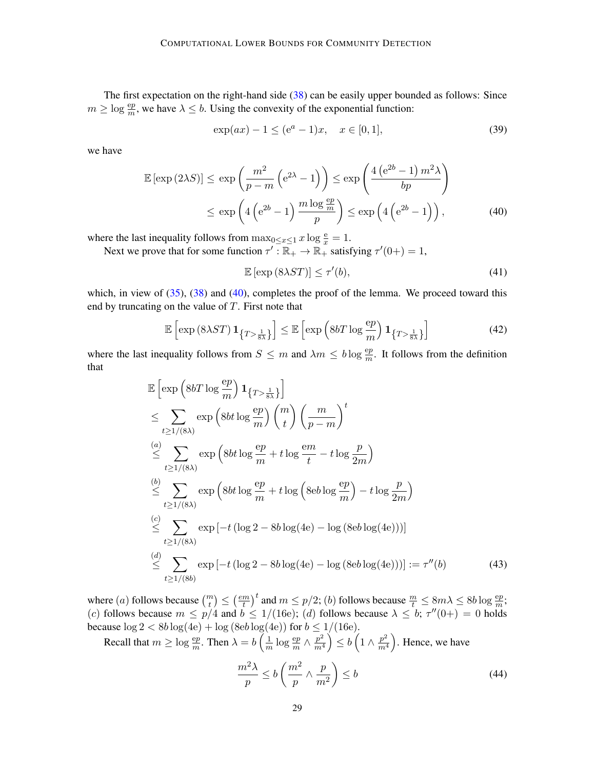The first expectation on the right-hand side [\(38\)](#page-27-2) can be easily upper bounded as follows: Since  $m \geq \log \frac{ep}{m}$ , we have  $\lambda \leq b$ . Using the convexity of the exponential function:

$$
\exp(ax) - 1 \le (e^a - 1)x, \quad x \in [0, 1], \tag{39}
$$

we have

$$
\mathbb{E}\left[\exp\left(2\lambda S\right)\right] \le \exp\left(\frac{m^2}{p-m}\left(e^{2\lambda}-1\right)\right) \le \exp\left(\frac{4\left(e^{2b}-1\right)m^2\lambda}{bp}\right)
$$

$$
\le \exp\left(4\left(e^{2b}-1\right)\frac{m\log\frac{ep}{m}}{p}\right) \le \exp\left(4\left(e^{2b}-1\right)\right),\tag{40}
$$

where the last inequality follows from  $\max_{0 \le x \le 1} x \log \frac{e}{x} = 1$ .

Next we prove that for some function  $\tau' : \overline{\mathbb{R}}_+ \to \mathbb{R}_+$  satisfying  $\tau'(0+) = 1$ ,

<span id="page-28-4"></span><span id="page-28-0"></span>
$$
\mathbb{E}\left[\exp\left(8\lambda ST\right)\right] \leq \tau'(b),\tag{41}
$$

which, in view of  $(35)$ ,  $(38)$  and  $(40)$ , completes the proof of the lemma. We proceed toward this end by truncating on the value of  $T$ . First note that

<span id="page-28-2"></span>
$$
\mathbb{E}\left[\exp\left(8\lambda ST\right)\mathbf{1}_{\left\{T>\frac{1}{8\lambda}\right\}}\right] \leq \mathbb{E}\left[\exp\left(8bT\log\frac{ep}{m}\right)\mathbf{1}_{\left\{T>\frac{1}{8\lambda}\right\}}\right]
$$
(42)

where the last inequality follows from  $S \leq m$  and  $\lambda m \leq b \log \frac{ep}{m}$ . It follows from the definition that

$$
\mathbb{E}\left[\exp\left(8bT\log\frac{ep}{m}\right)\mathbf{1}_{\{T>\frac{1}{8\lambda}\}}\right]
$$
\n
$$
\leq \sum_{t\geq 1/(8\lambda)} \exp\left(8bt\log\frac{ep}{m}\right) {m \choose t} \left(\frac{m}{p-m}\right)^t
$$
\n
$$
\leq \sum_{t\geq 1/(8\lambda)} \exp\left(8bt\log\frac{ep}{m} + t\log\frac{em}{t} - t\log\frac{p}{2m}\right)
$$
\n
$$
\leq \sum_{t\geq 1/(8\lambda)} \exp\left(8bt\log\frac{ep}{m} + t\log\left(8eb\log\frac{ep}{m}\right) - t\log\frac{p}{2m}\right)
$$
\n
$$
\leq \sum_{t\geq 1/(8\lambda)} \exp\left[-t\left(\log 2 - 8b\log(4e) - \log\left(8eb\log(4e)\right)\right)\right]
$$
\n
$$
\leq \sum_{t\geq 1/(8\lambda)} \exp\left[-t\left(\log 2 - 8b\log(4e) - \log\left(8eb\log(4e)\right)\right)\right] := \tau''(b) \tag{43}
$$

where  $(a)$  follows because  $\binom{m}{t} \leq \left(\frac{em}{t}\right)$  $\left(\frac{m}{t}\right)^t$  and  $m \le p/2$ ; (b) follows because  $\frac{m}{t} \le 8m\lambda \le 8b\log\frac{ep}{m}$ ; (c) follows because  $m \le p/4$  and  $b \le 1/(16e)$ ; (d) follows because  $\lambda \le b$ ;  $\tau''(0+) = 0$  holds because  $\log 2 < 8b \log(4e) + \log (8eb \log(4e))$  for  $b \le 1/(16e)$ .

Recall that  $m \ge \log \frac{ep}{m}$ . Then  $\lambda = b \left( \frac{1}{m} \right)$  $\frac{1}{m}\log \frac{{\rm e}p}{m} \wedge \frac{p^2}{m^4}$  $\left(\frac{p^2}{m^4}\right) \leq b \left(1 \wedge \frac{p^2}{m^4}\right)$  $\left(\frac{p^2}{m^4}\right)$ . Hence, we have

<span id="page-28-3"></span><span id="page-28-1"></span>
$$
\frac{m^2\lambda}{p} \le b\left(\frac{m^2}{p}\wedge\frac{p}{m^2}\right) \le b\tag{44}
$$